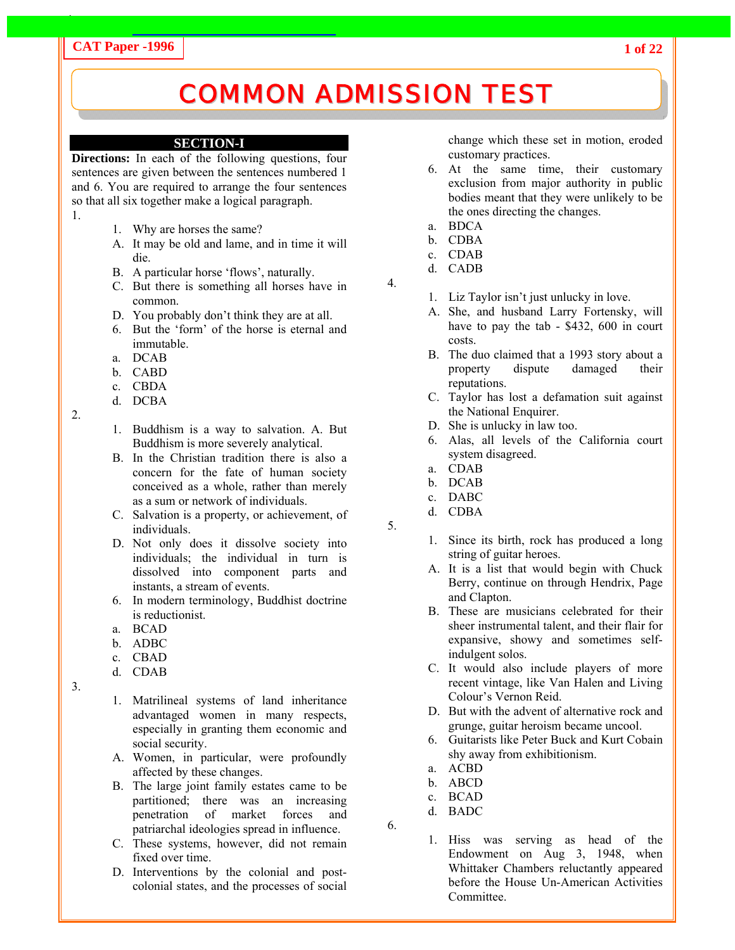# COMMON ADMISSION TEST

## **SECTION-I**

**Directions:** In each of the following questions, four sentences are given between the sentences numbered 1 and 6. You are required to arrange the four sentences so that all six together make a logical paragraph. 1.

- 1. Why are horses the same?
- A. It may be old and lame, and in time it will die.
- B. A particular horse 'flows', naturally.
- C. But there is something all horses have in common.
- D. You probably don't think they are at all.
- 6. But the 'form' of the horse is eternal and immutable.
- a. DCAB
- b. CABD
- c. CBDA
- d. DCBA
- 2.

3.

- 1. Buddhism is a way to salvation. A. But Buddhism is more severely analytical.
- B. In the Christian tradition there is also a concern for the fate of human society conceived as a whole, rather than merely as a sum or network of individuals.
- C. Salvation is a property, or achievement, of individuals.
- D. Not only does it dissolve society into individuals; the individual in turn is dissolved into component parts and instants, a stream of events.
- 6. In modern terminology, Buddhist doctrine is reductionist.
- a. BCAD
- b. ADBC
- c. CBAD
- d. CDAB
- 1. Matrilineal systems of land inheritance advantaged women in many respects, especially in granting them economic and social security.
- A. Women, in particular, were profoundly affected by these changes.
- B. The large joint family estates came to be partitioned; there was an increasing penetration of market forces and patriarchal ideologies spread in influence.
- C. These systems, however, did not remain fixed over time.
- D. Interventions by the colonial and postcolonial states, and the processes of social

change which these set in motion, eroded customary practices.

- 6. At the same time, their customary exclusion from major authority in public bodies meant that they were unlikely to be the ones directing the changes.
- a. BDCA
- b. CDBA
- c. CDAB
- d. CADB
- 1. Liz Taylor isn't just unlucky in love.
- A. She, and husband Larry Fortensky, will have to pay the tab - \$432, 600 in court costs.
- B. The duo claimed that a 1993 story about a property dispute damaged their reputations.
- C. Taylor has lost a defamation suit against the National Enquirer.
- D. She is unlucky in law too.
- 6. Alas, all levels of the California court system disagreed.
- a. CDAB
- b. DCAB
- c. DABC d. CDBA

5.

4.

- 1. Since its birth, rock has produced a long string of guitar heroes.
- A. It is a list that would begin with Chuck Berry, continue on through Hendrix, Page and Clapton.
- B. These are musicians celebrated for their sheer instrumental talent, and their flair for expansive, showy and sometimes selfindulgent solos.
- C. It would also include players of more recent vintage, like Van Halen and Living Colour's Vernon Reid.
- D. But with the advent of alternative rock and grunge, guitar heroism became uncool.
- 6. Guitarists like Peter Buck and Kurt Cobain shy away from exhibitionism.
- a. ACBD
- b. ABCD
- c. BCAD
- d. BADC

6.

1. Hiss was serving as head of the Endowment on Aug 3, 1948, when Whittaker Chambers reluctantly appeared before the House Un-American Activities Committee.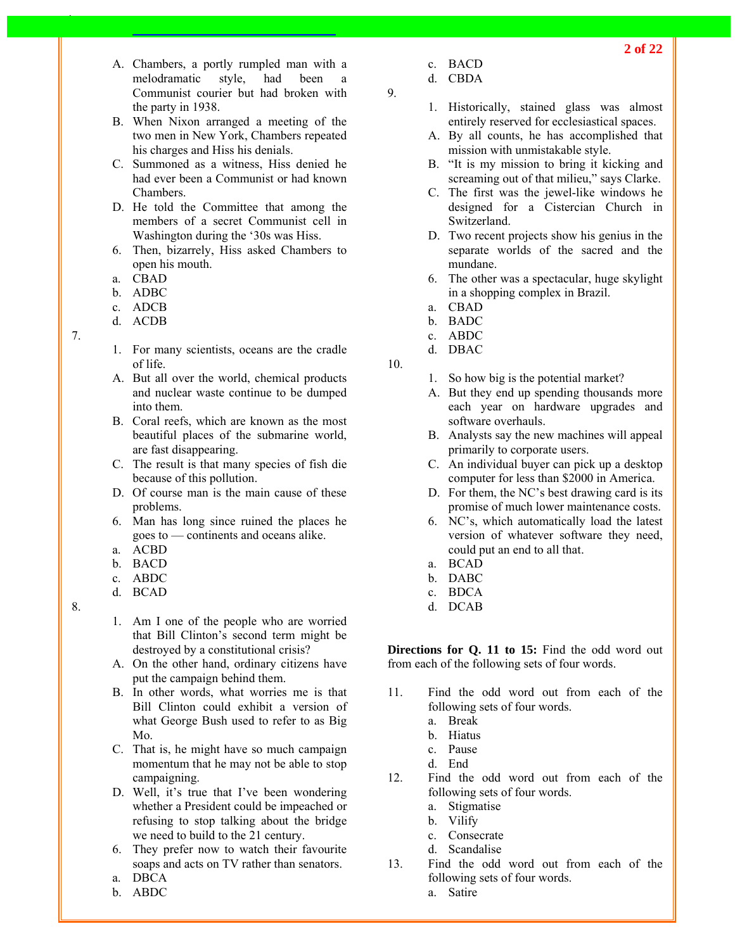**2 of 22**

- A. Chambers, a portly rumpled man with a melodramatic style, had been a Communist courier but had broken with the party in 1938.
- B. When Nixon arranged a meeting of the two men in New York, Chambers repeated his charges and Hiss his denials.
- C. Summoned as a witness, Hiss denied he had ever been a Communist or had known Chambers.
- D. He told the Committee that among the members of a secret Communist cell in Washington during the '30s was Hiss.
- 6. Then, bizarrely, Hiss asked Chambers to open his mouth.
- a. CBAD
- b. ADBC
- c. ADCB
- d. ACDB
- 1. For many scientists, oceans are the cradle of life.
- A. But all over the world, chemical products and nuclear waste continue to be dumped into them.
- B. Coral reefs, which are known as the most beautiful places of the submarine world, are fast disappearing.
- C. The result is that many species of fish die because of this pollution.
- D. Of course man is the main cause of these problems.
- 6. Man has long since ruined the places he goes to — continents and oceans alike.
- a. ACBD
- b. BACD
- c. ABDC
- d. BCAD
- 1. Am I one of the people who are worried that Bill Clinton's second term might be destroyed by a constitutional crisis?
- A. On the other hand, ordinary citizens have put the campaign behind them.
- B. In other words, what worries me is that Bill Clinton could exhibit a version of what George Bush used to refer to as Big M<sub>o</sub>
- C. That is, he might have so much campaign momentum that he may not be able to stop campaigning.
- D. Well, it's true that I've been wondering whether a President could be impeached or refusing to stop talking about the bridge we need to build to the 21 century.
- 6. They prefer now to watch their favourite soaps and acts on TV rather than senators.
- a. DBCA
- b. ABDC
- c. BACD d. CBDA
- 

9.

- 1. Historically, stained glass was almost entirely reserved for ecclesiastical spaces.
- A. By all counts, he has accomplished that mission with unmistakable style.
- B. "It is my mission to bring it kicking and screaming out of that milieu," says Clarke.
- C. The first was the jewel-like windows he designed for a Cistercian Church in Switzerland.
- D. Two recent projects show his genius in the separate worlds of the sacred and the mundane.
- 6. The other was a spectacular, huge skylight in a shopping complex in Brazil.
- a. CBAD
- b. BADC
- c. ABDC
- d. DBAC

10.

- 1. So how big is the potential market?
- A. But they end up spending thousands more each year on hardware upgrades and software overhauls.
- B. Analysts say the new machines will appeal primarily to corporate users.
- C. An individual buyer can pick up a desktop computer for less than \$2000 in America.
- D. For them, the NC's best drawing card is its promise of much lower maintenance costs.
- 6. NC's, which automatically load the latest version of whatever software they need, could put an end to all that.
- a. BCAD
- b. DABC
- c. BDCA
- d. DCAB

**Directions for Q. 11 to 15:** Find the odd word out from each of the following sets of four words.

- 11. Find the odd word out from each of the following sets of four words.
	- a. Break
	- b. Hiatus
	- c. Pause
	- d. End
- 12. Find the odd word out from each of the following sets of four words.
	- a. Stigmatise
	- b. Vilify
	- c. Consecrate
	- d. Scandalise
- 13. Find the odd word out from each of the following sets of four words.
	- a. Satire

7.

8.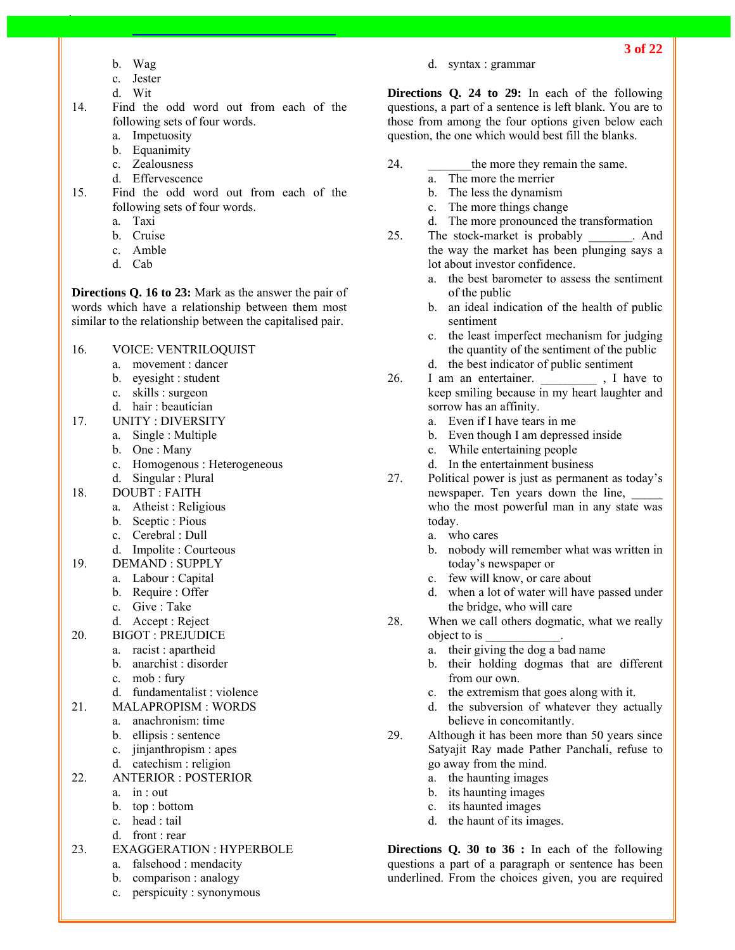**3 of 22**

- b. Wag
- c. Jester
- d. Wit
- 14. Find the odd word out from each of the following sets of four words.
	- a. Impetuosity
	- b. Equanimity
	- c. Zealousness
	- d. Effervescence
- 15. Find the odd word out from each of the following sets of four words.
	- a. Taxi
	- b. Cruise
	- c. Amble
	- d. Cab

**Directions Q. 16 to 23:** Mark as the answer the pair of words which have a relationship between them most similar to the relationship between the capitalised pair.

- 16. VOICE: VENTRILOQUIST
	- a. movement : dancer
	- b. eyesight : student
	- c. skills : surgeon
	- d. hair : beautician
- 17. UNITY : DIVERSITY
	- a. Single : Multiple
	- b. One : Many
	- c. Homogenous : Heterogeneous
	- d. Singular : Plural
- 18. DOUBT : FAITH
	- a. Atheist : Religious
	- b. Sceptic : Pious
	- c. Cerebral : Dull
	- d. Impolite : Courteous
- 19. DEMAND : SUPPLY
	- a. Labour : Capital
	- b. Require : Offer
	- c. Give : Take
	- d. Accept : Reject
- 20. BIGOT : PREJUDICE
	- a. racist : apartheid
	- b. anarchist : disorder
	- c. mob : fury
- d. fundamentalist : violence
- 21. MALAPROPISM : WORDS
	- a. anachronism: time
	- b. ellipsis : sentence
	- c. jinjanthropism : apes
	- d. catechism : religion
- 22. ANTERIOR : POSTERIOR
	- a. in : out
	- b. top : bottom
	- c. head : tail
	- d. front : rear
- 23. EXAGGERATION : HYPERBOLE
	- a. falsehood : mendacity
	- b. comparison : analogy
	- c. perspicuity : synonymous

d. syntax : grammar

**Directions Q. 24 to 29:** In each of the following questions, a part of a sentence is left blank. You are to those from among the four options given below each question, the one which would best fill the blanks.

- 24. **the more they remain the same.** 
	- a. The more the merrier
	- b. The less the dynamism
	- c. The more things change
	- d. The more pronounced the transformation
- 25. The stock-market is probably . And the way the market has been plunging says a lot about investor confidence.
	- a. the best barometer to assess the sentiment of the public
	- b. an ideal indication of the health of public sentiment
	- c. the least imperfect mechanism for judging the quantity of the sentiment of the public
	- d. the best indicator of public sentiment
- 26. I am an entertainer.  $\qquad \qquad$ , I have to keep smiling because in my heart laughter and sorrow has an affinity.
	- a. Even if I have tears in me
	- b. Even though I am depressed inside
	- c. While entertaining people
	- d. In the entertainment business
- 27. Political power is just as permanent as today's newspaper. Ten years down the line, who the most powerful man in any state was today.
	- a. who cares
	- b. nobody will remember what was written in today's newspaper or
	- c. few will know, or care about
	- d. when a lot of water will have passed under the bridge, who will care
- 28. When we call others dogmatic, what we really object to is \_\_\_\_\_\_\_\_\_\_\_\_.
	- a. their giving the dog a bad name
	- b. their holding dogmas that are different from our own.
	- c. the extremism that goes along with it.
	- d. the subversion of whatever they actually believe in concomitantly.
- 29. Although it has been more than 50 years since Satyajit Ray made Pather Panchali, refuse to go away from the mind.
	- a. the haunting images
	- b. its haunting images
	- c. its haunted images
	- d. the haunt of its images.

**Directions Q. 30 to 36 :** In each of the following questions a part of a paragraph or sentence has been underlined. From the choices given, you are required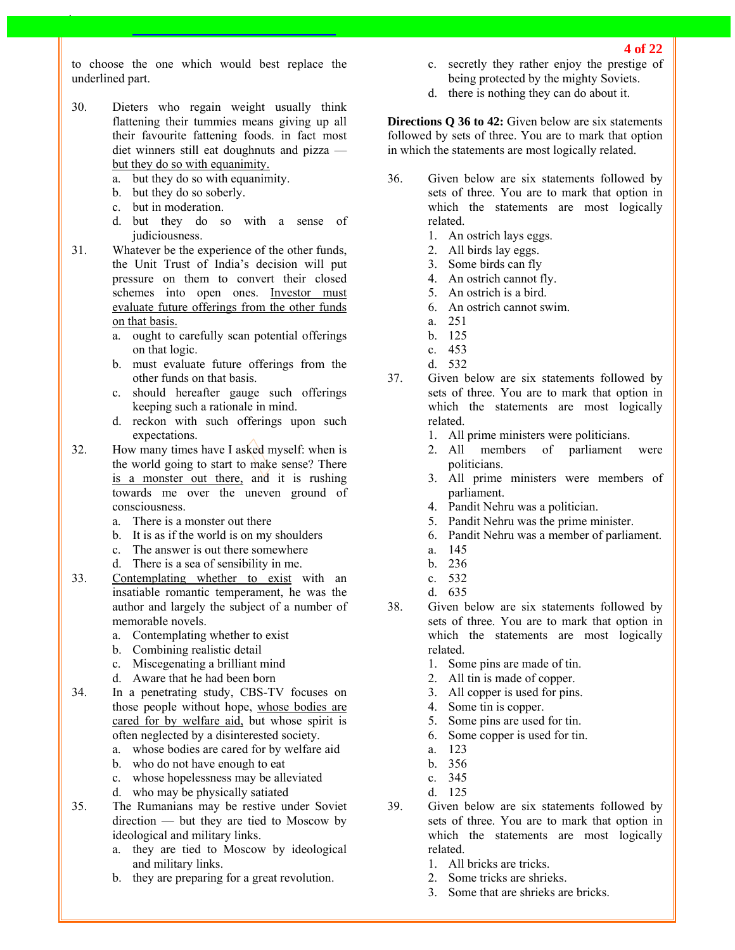to choose the one which would best replace the underlined part.

- 30. Dieters who regain weight usually think flattening their tummies means giving up all their favourite fattening foods. in fact most diet winners still eat doughnuts and pizza but they do so with equanimity.
	- a. but they do so with equanimity.
	- b. but they do so soberly.
	- c. but in moderation.
	- d. but they do so with a sense of judiciousness.
- 31. Whatever be the experience of the other funds, the Unit Trust of India's decision will put pressure on them to convert their closed schemes into open ones. Investor must evaluate future offerings from the other funds on that basis.
	- a. ought to carefully scan potential offerings on that logic.
	- b. must evaluate future offerings from the other funds on that basis.
	- c. should hereafter gauge such offerings keeping such a rationale in mind.
	- d. reckon with such offerings upon such expectations.
- 32. How many times have I asked myself: when is the world going to start to make sense? There is a monster out there, and it is rushing towards me over the uneven ground of consciousness.
	- a. There is a monster out there
	- b. It is as if the world is on my shoulders
	- c. The answer is out there somewhere
	- d. There is a sea of sensibility in me.
- 33. Contemplating whether to exist with an insatiable romantic temperament, he was the author and largely the subject of a number of memorable novels.
	- a. Contemplating whether to exist
	- b. Combining realistic detail
	- c. Miscegenating a brilliant mind
	- d. Aware that he had been born
- 34. In a penetrating study, CBS-TV focuses on those people without hope, whose bodies are cared for by welfare aid, but whose spirit is often neglected by a disinterested society.
	- a. whose bodies are cared for by welfare aid
	- b. who do not have enough to eat
	- c. whose hopelessness may be alleviated
	- d. who may be physically satiated
- 35. The Rumanians may be restive under Soviet direction — but they are tied to Moscow by ideological and military links.
	- a. they are tied to Moscow by ideological and military links.
	- b. they are preparing for a great revolution.
- c. secretly they rather enjoy the prestige of being protected by the mighty Soviets.
- d. there is nothing they can do about it.

**Directions Q 36 to 42:** Given below are six statements followed by sets of three. You are to mark that option in which the statements are most logically related.

- 36. Given below are six statements followed by sets of three. You are to mark that option in which the statements are most logically related.
	- 1. An ostrich lays eggs.
	- 2. All birds lay eggs.
	- 3. Some birds can fly
	- 4. An ostrich cannot fly.
	- 5. An ostrich is a bird.
	- 6. An ostrich cannot swim.
	- a. 251
	- b. 125
	- c. 453
	- d. 532
- 37. Given below are six statements followed by sets of three. You are to mark that option in which the statements are most logically related.
	- 1. All prime ministers were politicians.
	- 2. All members of parliament were politicians.
	- 3. All prime ministers were members of parliament.
	- 4. Pandit Nehru was a politician.
	- 5. Pandit Nehru was the prime minister.
	- 6. Pandit Nehru was a member of parliament.
	- a. 145
	- b. 236
	- c. 532
	- d. 635
- 38. Given below are six statements followed by sets of three. You are to mark that option in which the statements are most logically related.
	- 1. Some pins are made of tin.
	- 2. All tin is made of copper.
	- 3. All copper is used for pins.
	- 4. Some tin is copper.
	- 5. Some pins are used for tin.
	- 6. Some copper is used for tin.
	- a. 123
	- b. 356
	- c. 345
	- d. 125
- 39. Given below are six statements followed by sets of three. You are to mark that option in which the statements are most logically related.
	- 1. All bricks are tricks.
	- 2. Some tricks are shrieks.
	- 3. Some that are shrieks are bricks.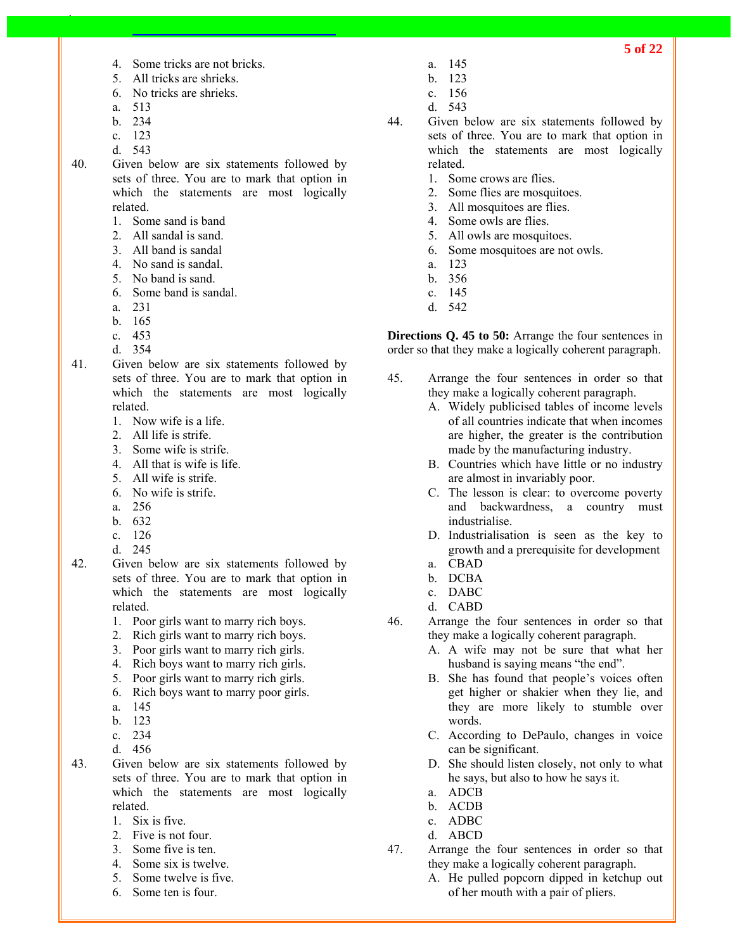- 4. Some tricks are not bricks.
- 5. All tricks are shrieks.
- 6. No tricks are shrieks.
- a. 513
- b. 234
- c. 123
- d. 543
- 40. Given below are six statements followed by sets of three. You are to mark that option in which the statements are most logically related.
	- 1. Some sand is band
	- 2. All sandal is sand.
	- 3. All band is sandal
	- 4. No sand is sandal.
	- 5. No band is sand.
	- 6. Some band is sandal.
	- a. 231
	- b. 165
	- c. 453
	- d. 354
- 41. Given below are six statements followed by sets of three. You are to mark that option in which the statements are most logically related.
	- 1. Now wife is a life.
	- 2. All life is strife.
	- 3. Some wife is strife.
	- 4. All that is wife is life.
	- 5. All wife is strife.
	- 6. No wife is strife.
	- a. 256
	- b. 632
	- c. 126
	- d. 245
- 42. Given below are six statements followed by sets of three. You are to mark that option in which the statements are most logically related.
	- 1. Poor girls want to marry rich boys.
	- 2. Rich girls want to marry rich boys.
	- 3. Poor girls want to marry rich girls.
	- 4. Rich boys want to marry rich girls.
	- 5. Poor girls want to marry rich girls.
	- 6. Rich boys want to marry poor girls.
	- a. 145
	- b. 123
	- c. 234
	- d. 456
- 43. Given below are six statements followed by sets of three. You are to mark that option in which the statements are most logically related.
	- 1. Six is five.
	- 2. Five is not four.
	- 3. Some five is ten.
	- 4. Some six is twelve.
	- 5. Some twelve is five.
	- 6. Some ten is four.
- a. 145
- b. 123
- c. 156
- d. 543
- 44. Given below are six statements followed by sets of three. You are to mark that option in which the statements are most logically related.
	- 1. Some crows are flies.
	- 2. Some flies are mosquitoes.
	- 3. All mosquitoes are flies.
	- 4. Some owls are flies.
	- 5. All owls are mosquitoes.
	- 6. Some mosquitoes are not owls.
	- a. 123
	- b. 356
	- c. 145
	- d. 542

**Directions Q. 45 to 50:** Arrange the four sentences in order so that they make a logically coherent paragraph.

- 45. Arrange the four sentences in order so that they make a logically coherent paragraph.
	- A. Widely publicised tables of income levels of all countries indicate that when incomes are higher, the greater is the contribution made by the manufacturing industry.
	- B. Countries which have little or no industry are almost in invariably poor.
	- C. The lesson is clear: to overcome poverty and backwardness, a country must industrialise.
	- D. Industrialisation is seen as the key to growth and a prerequisite for development a. CBAD
	- b. DCBA
	- c. DABC
	- d. CABD
	-

46. Arrange the four sentences in order so that they make a logically coherent paragraph.

- A. A wife may not be sure that what her husband is saying means "the end".
- B. She has found that people's voices often get higher or shakier when they lie, and they are more likely to stumble over words.
- C. According to DePaulo, changes in voice can be significant.
- D. She should listen closely, not only to what he says, but also to how he says it.
- a. ADCB
- b. ACDB
- c. ADBC
- d. ABCD
- 47. Arrange the four sentences in order so that they make a logically coherent paragraph.
	- A. He pulled popcorn dipped in ketchup out of her mouth with a pair of pliers.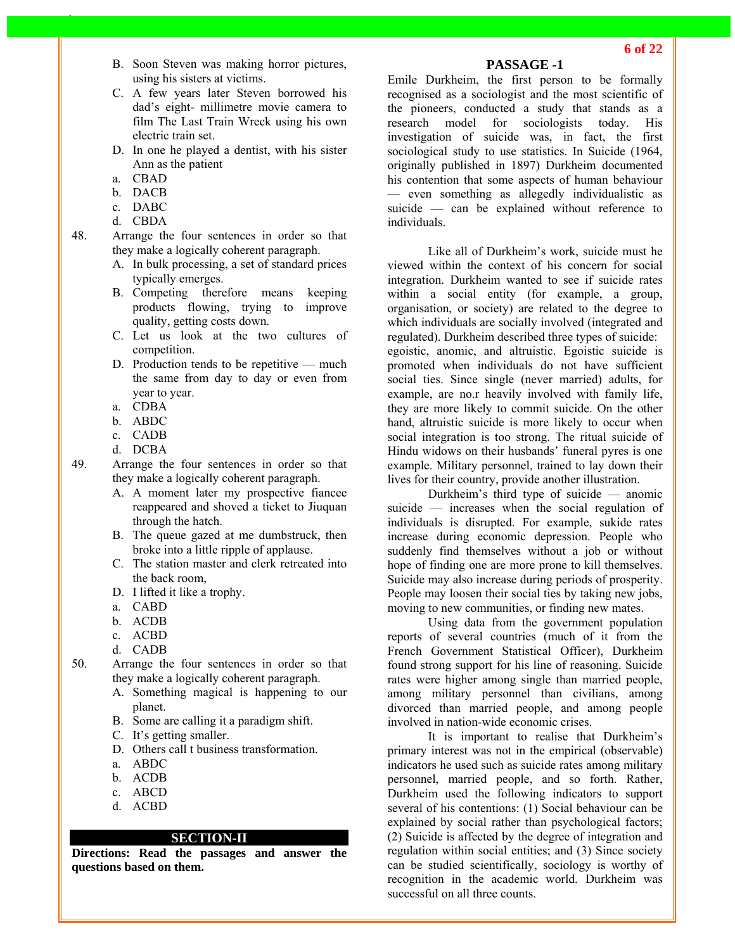- B. Soon Steven was making horror pictures, using his sisters at victims.
- C. A few years later Steven borrowed his dad's eight- millimetre movie camera to film The Last Train Wreck using his own electric train set.
- D. In one he played a dentist, with his sister Ann as the patient
- a. CBAD
- b. DACB
- c. DABC
- d. CBDA
- 48. Arrange the four sentences in order so that they make a logically coherent paragraph.
	- A. In bulk processing, a set of standard prices typically emerges.
	- B. Competing therefore means keeping products flowing, trying to improve quality, getting costs down.
	- C. Let us look at the two cultures of competition.
	- D. Production tends to be repetitive much the same from day to day or even from year to year.
	- a. CDBA
	- b. ABDC
	- c. CADB
	- d. DCBA
- 49. Arrange the four sentences in order so that they make a logically coherent paragraph.
	- A. A moment later my prospective fiancee reappeared and shoved a ticket to Jiuquan through the hatch.
	- B. The queue gazed at me dumbstruck, then broke into a little ripple of applause.
	- C. The station master and clerk retreated into the back room,
	- D. I lifted it like a trophy.
	- a. CABD
	- b. ACDB
	- c. ACBD
	- d. CADB
- 50. Arrange the four sentences in order so that they make a logically coherent paragraph.
	- A. Something magical is happening to our planet.
	- B. Some are calling it a paradigm shift.
	- C. It's getting smaller.
	- D. Others call t business transformation.
	- a. ABDC
	- b. ACDB
	- c. ABCD
	- d. ACBD

## **SECTION-II**

**Directions: Read the passages and answer the questions based on them.** 

Emile Durkheim, the first person to be formally recognised as a sociologist and the most scientific of the pioneers, conducted a study that stands as a research model for sociologists today. His investigation of suicide was, in fact, the first sociological study to use statistics. In Suicide (1964, originally published in 1897) Durkheim documented his contention that some aspects of human behaviour — even something as allegedly individualistic as suicide — can be explained without reference to individuals.

Like all of Durkheim's work, suicide must he viewed within the context of his concern for social integration. Durkheim wanted to see if suicide rates within a social entity (for example, a group, organisation, or society) are related to the degree to which individuals are socially involved (integrated and regulated). Durkheim described three types of suicide: egoistic, anomic, and altruistic. Egoistic suicide is

promoted when individuals do not have sufficient social ties. Since single (never married) adults, for example, are no.r heavily involved with family life, they are more likely to commit suicide. On the other hand, altruistic suicide is more likely to occur when social integration is too strong. The ritual suicide of Hindu widows on their husbands' funeral pyres is one example. Military personnel, trained to lay down their lives for their country, provide another illustration.

Durkheim's third type of suicide — anomic suicide — increases when the social regulation of individuals is disrupted. For example, sukide rates increase during economic depression. People who suddenly find themselves without a job or without hope of finding one are more prone to kill themselves. Suicide may also increase during periods of prosperity. People may loosen their social ties by taking new jobs, moving to new communities, or finding new mates.

Using data from the government population reports of several countries (much of it from the French Government Statistical Officer), Durkheim found strong support for his line of reasoning. Suicide rates were higher among single than married people, among military personnel than civilians, among divorced than married people, and among people involved in nation-wide economic crises.

It is important to realise that Durkheim's primary interest was not in the empirical (observable) indicators he used such as suicide rates among military personnel, married people, and so forth. Rather, Durkheim used the following indicators to support several of his contentions: (1) Social behaviour can be explained by social rather than psychological factors; (2) Suicide is affected by the degree of integration and regulation within social entities; and (3) Since society can be studied scientifically, sociology is worthy of recognition in the academic world. Durkheim was successful on all three counts.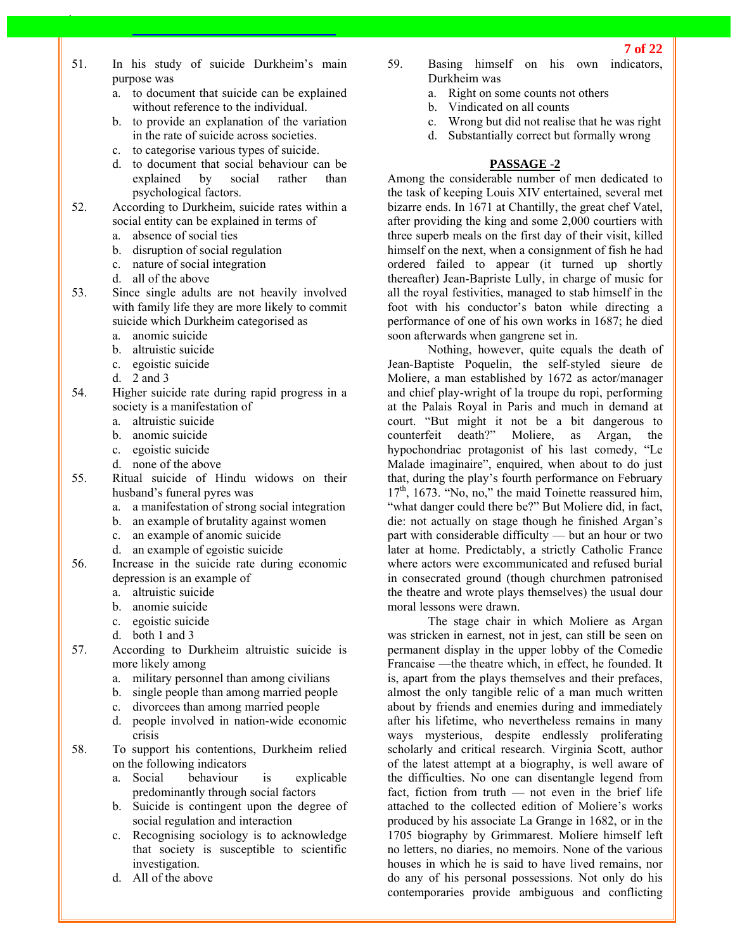**7 of 22**

- 51. In his study of suicide Durkheim's main purpose was
	- a. to document that suicide can be explained without reference to the individual.
	- b. to provide an explanation of the variation in the rate of suicide across societies.
	- c. to categorise various types of suicide.
	- d. to document that social behaviour can be explained by social rather than psychological factors.
- 52. According to Durkheim, suicide rates within a social entity can be explained in terms of
	- a. absence of social ties
	- b. disruption of social regulation
	- c. nature of social integration
	- d. all of the above
- 53. Since single adults are not heavily involved with family life they are more likely to commit suicide which Durkheim categorised as
	- a. anomic suicide
	- b. altruistic suicide
	- c. egoistic suicide
	- d. 2 and 3
- 54. Higher suicide rate during rapid progress in a society is a manifestation of
	- a. altruistic suicide
	- b. anomic suicide
	- c. egoistic suicide
	- d. none of the above
- 55. Ritual suicide of Hindu widows on their husband's funeral pyres was
	- a. a manifestation of strong social integration
	- b. an example of brutality against women
	- c. an example of anomic suicide
	- d. an example of egoistic suicide
- 56. Increase in the suicide rate during economic depression is an example of
	- a. altruistic suicide
	- b. anomie suicide
	- c. egoistic suicide
	- d. both 1 and 3
- 57. According to Durkheim altruistic suicide is more likely among
	- a. military personnel than among civilians
	- b. single people than among married people
	- c. divorcees than among married people
	- d. people involved in nation-wide economic crisis
- 58. To support his contentions, Durkheim relied on the following indicators
	- a. Social behaviour is explicable predominantly through social factors
	- b. Suicide is contingent upon the degree of social regulation and interaction
	- c. Recognising sociology is to acknowledge that society is susceptible to scientific investigation.
	- d. All of the above
- 59. Basing himself on his own indicators, Durkheim was
	- a. Right on some counts not others
	- b. Vindicated on all counts
	- c. Wrong but did not realise that he was right
	- d. Substantially correct but formally wrong

## **PASSAGE -2**

Among the considerable number of men dedicated to the task of keeping Louis XIV entertained, several met bizarre ends. In 1671 at Chantilly, the great chef Vatel, after providing the king and some 2,000 courtiers with three superb meals on the first day of their visit, killed himself on the next, when a consignment of fish he had ordered failed to appear (it turned up shortly thereafter) Jean-Bapriste Lully, in charge of music for all the royal festivities, managed to stab himself in the foot with his conductor's baton while directing a performance of one of his own works in 1687; he died soon afterwards when gangrene set in.

Nothing, however, quite equals the death of Jean-Baptiste Poquelin, the self-styled sieure de Moliere, a man established by 1672 as actor/manager and chief play-wright of la troupe du ropi, performing at the Palais Royal in Paris and much in demand at court. "But might it not be a bit dangerous to counterfeit death?" Moliere, as Argan, the hypochondriac protagonist of his last comedy, "Le Malade imaginaire", enquired, when about to do just that, during the play's fourth performance on February 17<sup>th</sup>, 1673. "No, no," the maid Toinette reassured him, "what danger could there be?" But Moliere did, in fact, die: not actually on stage though he finished Argan's part with considerable difficulty — but an hour or two later at home. Predictably, a strictly Catholic France where actors were excommunicated and refused burial in consecrated ground (though churchmen patronised the theatre and wrote plays themselves) the usual dour moral lessons were drawn.

The stage chair in which Moliere as Argan was stricken in earnest, not in jest, can still be seen on permanent display in the upper lobby of the Comedie Francaise —the theatre which, in effect, he founded. It is, apart from the plays themselves and their prefaces, almost the only tangible relic of a man much written about by friends and enemies during and immediately after his lifetime, who nevertheless remains in many ways mysterious, despite endlessly proliferating scholarly and critical research. Virginia Scott, author of the latest attempt at a biography, is well aware of the difficulties. No one can disentangle legend from fact, fiction from truth — not even in the brief life attached to the collected edition of Moliere's works produced by his associate La Grange in 1682, or in the 1705 biography by Grimmarest. Moliere himself left no letters, no diaries, no memoirs. None of the various houses in which he is said to have lived remains, nor do any of his personal possessions. Not only do his contemporaries provide ambiguous and conflicting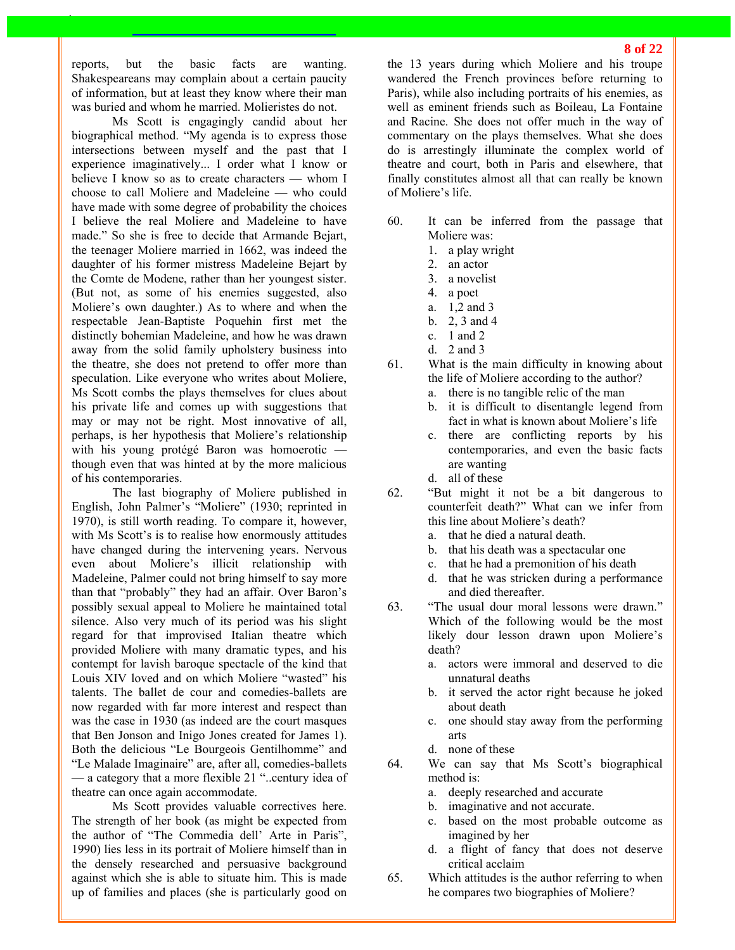reports, but the basic facts are wanting. Shakespeareans may complain about a certain paucity of information, but at least they know where their man was buried and whom he married. Molieristes do not.

Ms Scott is engagingly candid about her biographical method. "My agenda is to express those intersections between myself and the past that I experience imaginatively... I order what I know or believe I know so as to create characters — whom I choose to call Moliere and Madeleine — who could have made with some degree of probability the choices I believe the real Moliere and Madeleine to have made." So she is free to decide that Armande Bejart, the teenager Moliere married in 1662, was indeed the daughter of his former mistress Madeleine Bejart by the Comte de Modene, rather than her youngest sister. (But not, as some of his enemies suggested, also Moliere's own daughter.) As to where and when the respectable Jean-Baptiste Poquehin first met the distinctly bohemian Madeleine, and how he was drawn away from the solid family upholstery business into the theatre, she does not pretend to offer more than speculation. Like everyone who writes about Moliere, Ms Scott combs the plays themselves for clues about his private life and comes up with suggestions that may or may not be right. Most innovative of all, perhaps, is her hypothesis that Moliere's relationship with his young protégé Baron was homoerotic though even that was hinted at by the more malicious of his contemporaries.

The last biography of Moliere published in English, John Palmer's "Moliere" (1930; reprinted in 1970), is still worth reading. To compare it, however, with Ms Scott's is to realise how enormously attitudes have changed during the intervening years. Nervous even about Moliere's illicit relationship with Madeleine, Palmer could not bring himself to say more than that "probably" they had an affair. Over Baron's possibly sexual appeal to Moliere he maintained total silence. Also very much of its period was his slight regard for that improvised Italian theatre which provided Moliere with many dramatic types, and his contempt for lavish baroque spectacle of the kind that Louis XIV loved and on which Moliere "wasted" his talents. The ballet de cour and comedies-ballets are now regarded with far more interest and respect than was the case in 1930 (as indeed are the court masques that Ben Jonson and Inigo Jones created for James 1). Both the delicious "Le Bourgeois Gentilhomme" and "Le Malade Imaginaire" are, after all, comedies-ballets — a category that a more flexible 21 "..century idea of theatre can once again accommodate.

Ms Scott provides valuable correctives here. The strength of her book (as might be expected from the author of "The Commedia dell' Arte in Paris", 1990) lies less in its portrait of Moliere himself than in the densely researched and persuasive background against which she is able to situate him. This is made up of families and places (she is particularly good on the 13 years during which Moliere and his troupe wandered the French provinces before returning to Paris), while also including portraits of his enemies, as well as eminent friends such as Boileau, La Fontaine and Racine. She does not offer much in the way of commentary on the plays themselves. What she does do is arrestingly illuminate the complex world of theatre and court, both in Paris and elsewhere, that finally constitutes almost all that can really be known of Moliere's life.

- 60. It can be inferred from the passage that Moliere was:
	- 1. a play wright
	- 2. an actor
	- 3. a novelist
	- 4. a poet
	- a. 1,2 and 3
	- b. 2, 3 and 4
	- c. 1 and 2
	- d. 2 and 3
- 61. What is the main difficulty in knowing about the life of Moliere according to the author?
	- a. there is no tangible relic of the man
	- b. it is difficult to disentangle legend from fact in what is known about Moliere's life
	- c. there are conflicting reports by his contemporaries, and even the basic facts are wanting
	- d. all of these
- 62. "But might it not be a bit dangerous to counterfeit death?" What can we infer from this line about Moliere's death?
	- a. that he died a natural death.
	- b. that his death was a spectacular one
	- c. that he had a premonition of his death
	- d. that he was stricken during a performance and died thereafter.
- 63. "The usual dour moral lessons were drawn." Which of the following would be the most likely dour lesson drawn upon Moliere's death?
	- a. actors were immoral and deserved to die unnatural deaths
	- b. it served the actor right because he joked about death
	- c. one should stay away from the performing arts
	- d. none of these
- 64. We can say that Ms Scott's biographical method is:
	- a. deeply researched and accurate
	- b. imaginative and not accurate.
	- c. based on the most probable outcome as imagined by her
	- d. a flight of fancy that does not deserve critical acclaim
- 65. Which attitudes is the author referring to when he compares two biographies of Moliere?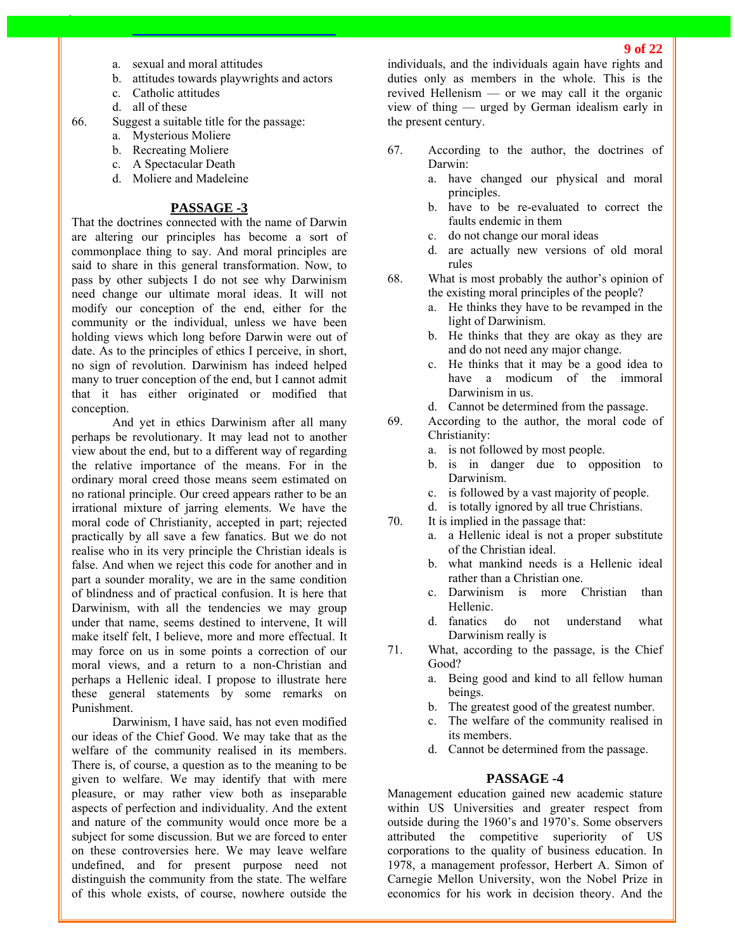- a. sexual and moral attitudes
- b. attitudes towards playwrights and actors
- c. Catholic attitudes
- d. all of these
- 66. Suggest a suitable title for the passage:
	- a. Mysterious Moliere
	- b. Recreating Moliere
	- c. A Spectacular Death
	- d. Moliere and Madeleine

## **PASSAGE -3**

That the doctrines connected with the name of Darwin are altering our principles has become a sort of commonplace thing to say. And moral principles are said to share in this general transformation. Now, to pass by other subjects I do not see why Darwinism need change our ultimate moral ideas. It will not modify our conception of the end, either for the community or the individual, unless we have been holding views which long before Darwin were out of date. As to the principles of ethics I perceive, in short, no sign of revolution. Darwinism has indeed helped many to truer conception of the end, but I cannot admit that it has either originated or modified that conception.

And yet in ethics Darwinism after all many perhaps be revolutionary. It may lead not to another view about the end, but to a different way of regarding the relative importance of the means. For in the ordinary moral creed those means seem estimated on no rational principle. Our creed appears rather to be an irrational mixture of jarring elements. We have the moral code of Christianity, accepted in part; rejected practically by all save a few fanatics. But we do not realise who in its very principle the Christian ideals is false. And when we reject this code for another and in part a sounder morality, we are in the same condition of blindness and of practical confusion. It is here that Darwinism, with all the tendencies we may group under that name, seems destined to intervene, It will make itself felt, I believe, more and more effectual. It may force on us in some points a correction of our moral views, and a return to a non-Christian and perhaps a Hellenic ideal. I propose to illustrate here these general statements by some remarks on Punishment.

Darwinism, I have said, has not even modified our ideas of the Chief Good. We may take that as the welfare of the community realised in its members. There is, of course, a question as to the meaning to be given to welfare. We may identify that with mere pleasure, or may rather view both as inseparable aspects of perfection and individuality. And the extent and nature of the community would once more be a subject for some discussion. But we are forced to enter on these controversies here. We may leave welfare undefined, and for present purpose need not distinguish the community from the state. The welfare of this whole exists, of course, nowhere outside the individuals, and the individuals again have rights and duties only as members in the whole. This is the revived Hellenism — or we may call it the organic view of thing — urged by German idealism early in the present century.

- 67. According to the author, the doctrines of Darwin:
	- a. have changed our physical and moral principles.
	- b. have to be re-evaluated to correct the faults endemic in them
	- c. do not change our moral ideas
	- d. are actually new versions of old moral rules
- 68. What is most probably the author's opinion of the existing moral principles of the people?
	- a. He thinks they have to be revamped in the light of Darwinism.
	- b. He thinks that they are okay as they are and do not need any major change.
	- c. He thinks that it may be a good idea to have a modicum of the immoral Darwinism in us.
	- d. Cannot be determined from the passage.
- 69. According to the author, the moral code of Christianity:
	- a. is not followed by most people.
	- b. is in danger due to opposition to Darwinism.
	- c. is followed by a vast majority of people.
	- d. is totally ignored by all true Christians.
- 70. It is implied in the passage that:
	- a. a Hellenic ideal is not a proper substitute of the Christian ideal.
	- b. what mankind needs is a Hellenic ideal rather than a Christian one.
	- c. Darwinism is more Christian than Hellenic.
	- d. fanatics do not understand what Darwinism really is
- 71. What, according to the passage, is the Chief Good?
	- a. Being good and kind to all fellow human beings.
	- b. The greatest good of the greatest number.
	- c. The welfare of the community realised in its members.
	- d. Cannot be determined from the passage.

## **PASSAGE -4**

Management education gained new academic stature within US Universities and greater respect from outside during the 1960's and 1970's. Some observers attributed the competitive superiority of US corporations to the quality of business education. In 1978, a management professor, Herbert A. Simon of Carnegie Mellon University, won the Nobel Prize in economics for his work in decision theory. And the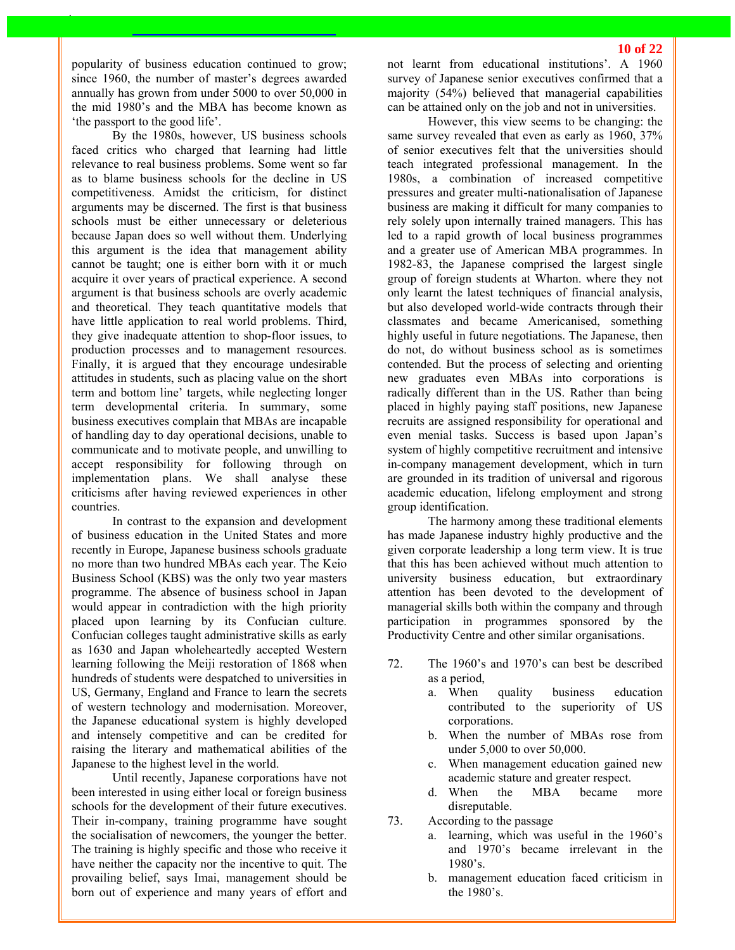By the 1980s, however, US business schools faced critics who charged that learning had little relevance to real business problems. Some went so far as to blame business schools for the decline in US competitiveness. Amidst the criticism, for distinct arguments may be discerned. The first is that business schools must be either unnecessary or deleterious because Japan does so well without them. Underlying this argument is the idea that management ability cannot be taught; one is either born with it or much acquire it over years of practical experience. A second argument is that business schools are overly academic and theoretical. They teach quantitative models that have little application to real world problems. Third, they give inadequate attention to shop-floor issues, to production processes and to management resources. Finally, it is argued that they encourage undesirable attitudes in students, such as placing value on the short term and bottom line' targets, while neglecting longer term developmental criteria. In summary, some business executives complain that MBAs are incapable of handling day to day operational decisions, unable to communicate and to motivate people, and unwilling to accept responsibility for following through on implementation plans. We shall analyse these criticisms after having reviewed experiences in other countries.

In contrast to the expansion and development of business education in the United States and more recently in Europe, Japanese business schools graduate no more than two hundred MBAs each year. The Keio Business School (KBS) was the only two year masters programme. The absence of business school in Japan would appear in contradiction with the high priority placed upon learning by its Confucian culture. Confucian colleges taught administrative skills as early as 1630 and Japan wholeheartedly accepted Western learning following the Meiji restoration of 1868 when hundreds of students were despatched to universities in US, Germany, England and France to learn the secrets of western technology and modernisation. Moreover, the Japanese educational system is highly developed and intensely competitive and can be credited for raising the literary and mathematical abilities of the Japanese to the highest level in the world.

Until recently, Japanese corporations have not been interested in using either local or foreign business schools for the development of their future executives. Their in-company, training programme have sought the socialisation of newcomers, the younger the better. The training is highly specific and those who receive it have neither the capacity nor the incentive to quit. The provailing belief, says Imai, management should be born out of experience and many years of effort and not learnt from educational institutions'. A 1960 survey of Japanese senior executives confirmed that a majority (54%) believed that managerial capabilities can be attained only on the job and not in universities.

However, this view seems to be changing: the same survey revealed that even as early as 1960, 37% of senior executives felt that the universities should teach integrated professional management. In the 1980s, a combination of increased competitive pressures and greater multi-nationalisation of Japanese business are making it difficult for many companies to rely solely upon internally trained managers. This has led to a rapid growth of local business programmes and a greater use of American MBA programmes. In 1982-83, the Japanese comprised the largest single group of foreign students at Wharton. where they not only learnt the latest techniques of financial analysis, but also developed world-wide contracts through their classmates and became Americanised, something highly useful in future negotiations. The Japanese, then do not, do without business school as is sometimes contended. But the process of selecting and orienting new graduates even MBAs into corporations is radically different than in the US. Rather than being placed in highly paying staff positions, new Japanese recruits are assigned responsibility for operational and even menial tasks. Success is based upon Japan's system of highly competitive recruitment and intensive in-company management development, which in turn are grounded in its tradition of universal and rigorous academic education, lifelong employment and strong group identification.

The harmony among these traditional elements has made Japanese industry highly productive and the given corporate leadership a long term view. It is true that this has been achieved without much attention to university business education, but extraordinary attention has been devoted to the development of managerial skills both within the company and through participation in programmes sponsored by the Productivity Centre and other similar organisations.

- 72. The 1960's and 1970's can best be described as a period,
	- a. When quality business education contributed to the superiority of US corporations.
	- b. When the number of MBAs rose from under 5,000 to over 50,000.
	- c. When management education gained new academic stature and greater respect.
	- d. When the MBA became more disreputable.
- 73. According to the passage
	- a. learning, which was useful in the 1960's and 1970's became irrelevant in the 1980's.
	- b. management education faced criticism in the 1980's.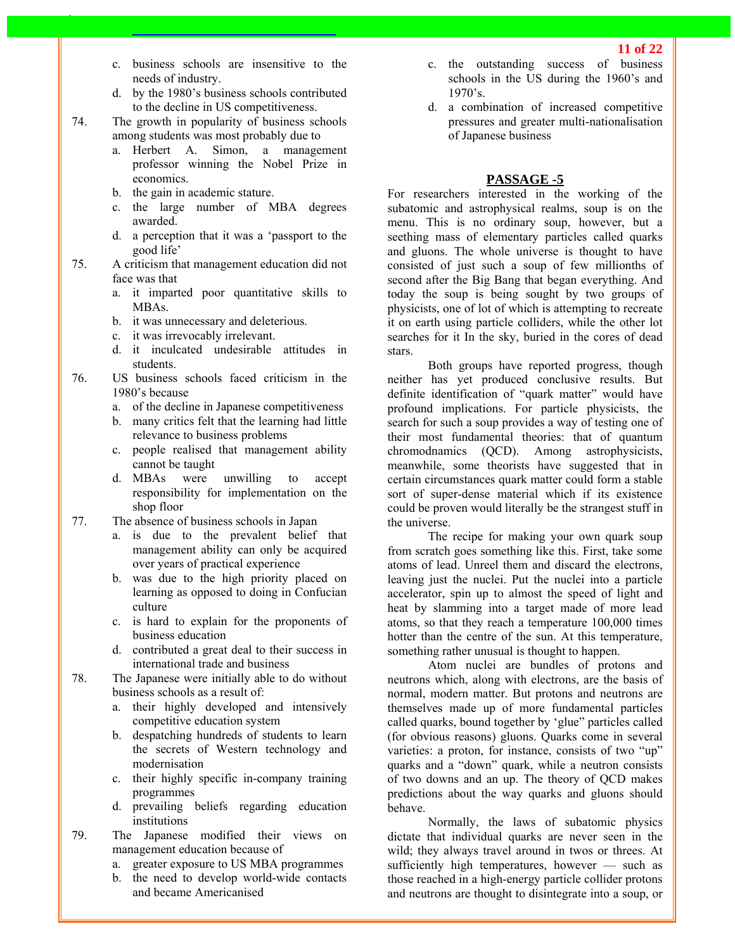- c. business schools are insensitive to the needs of industry.
- d. by the 1980's business schools contributed to the decline in US competitiveness.
- 74. The growth in popularity of business schools among students was most probably due to
	- a. Herbert A. Simon, a management professor winning the Nobel Prize in economics.
	- b. the gain in academic stature.
	- c. the large number of MBA degrees awarded.
	- d. a perception that it was a 'passport to the good life'
- 75. A criticism that management education did not face was that
	- a. it imparted poor quantitative skills to **MBAs**.
	- b. it was unnecessary and deleterious.
	- c. it was irrevocably irrelevant.
	- d. it inculcated undesirable attitudes in students.
- 76. US business schools faced criticism in the 1980's because
	- a. of the decline in Japanese competitiveness
	- b. many critics felt that the learning had little relevance to business problems
	- c. people realised that management ability cannot be taught
	- d. MBAs were unwilling to accept responsibility for implementation on the shop floor
- 77. The absence of business schools in Japan
	- a. is due to the prevalent belief that management ability can only be acquired over years of practical experience
	- b. was due to the high priority placed on learning as opposed to doing in Confucian culture
	- c. is hard to explain for the proponents of business education
	- d. contributed a great deal to their success in international trade and business
- 78. The Japanese were initially able to do without business schools as a result of:
	- a. their highly developed and intensively competitive education system
	- b. despatching hundreds of students to learn the secrets of Western technology and modernisation
	- c. their highly specific in-company training programmes
	- d. prevailing beliefs regarding education institutions
- 79. The Japanese modified their views on management education because of
	- a. greater exposure to US MBA programmes
	- b. the need to develop world-wide contacts and became Americanised
- c. the outstanding success of business schools in the US during the 1960's and 1970's.
- d. a combination of increased competitive pressures and greater multi-nationalisation of Japanese business

## **PASSAGE -5**

For researchers interested in the working of the subatomic and astrophysical realms, soup is on the menu. This is no ordinary soup, however, but a seething mass of elementary particles called quarks and gluons. The whole universe is thought to have consisted of just such a soup of few millionths of second after the Big Bang that began everything. And today the soup is being sought by two groups of physicists, one of lot of which is attempting to recreate it on earth using particle colliders, while the other lot searches for it In the sky, buried in the cores of dead stars.

Both groups have reported progress, though neither has yet produced conclusive results. But definite identification of "quark matter" would have profound implications. For particle physicists, the search for such a soup provides a way of testing one of their most fundamental theories: that of quantum chromodnamics (QCD). Among astrophysicists, meanwhile, some theorists have suggested that in certain circumstances quark matter could form a stable sort of super-dense material which if its existence could be proven would literally be the strangest stuff in the universe.

The recipe for making your own quark soup from scratch goes something like this. First, take some atoms of lead. Unreel them and discard the electrons, leaving just the nuclei. Put the nuclei into a particle accelerator, spin up to almost the speed of light and heat by slamming into a target made of more lead atoms, so that they reach a temperature 100,000 times hotter than the centre of the sun. At this temperature, something rather unusual is thought to happen.

Atom nuclei are bundles of protons and neutrons which, along with electrons, are the basis of normal, modern matter. But protons and neutrons are themselves made up of more fundamental particles called quarks, bound together by 'glue" particles called (for obvious reasons) gluons. Quarks come in several varieties: a proton, for instance, consists of two "up" quarks and a "down" quark, while a neutron consists of two downs and an up. The theory of QCD makes predictions about the way quarks and gluons should behave.

Normally, the laws of subatomic physics dictate that individual quarks are never seen in the wild; they always travel around in twos or threes. At sufficiently high temperatures, however — such as those reached in a high-energy particle collider protons and neutrons are thought to disintegrate into a soup, or

- -
	- -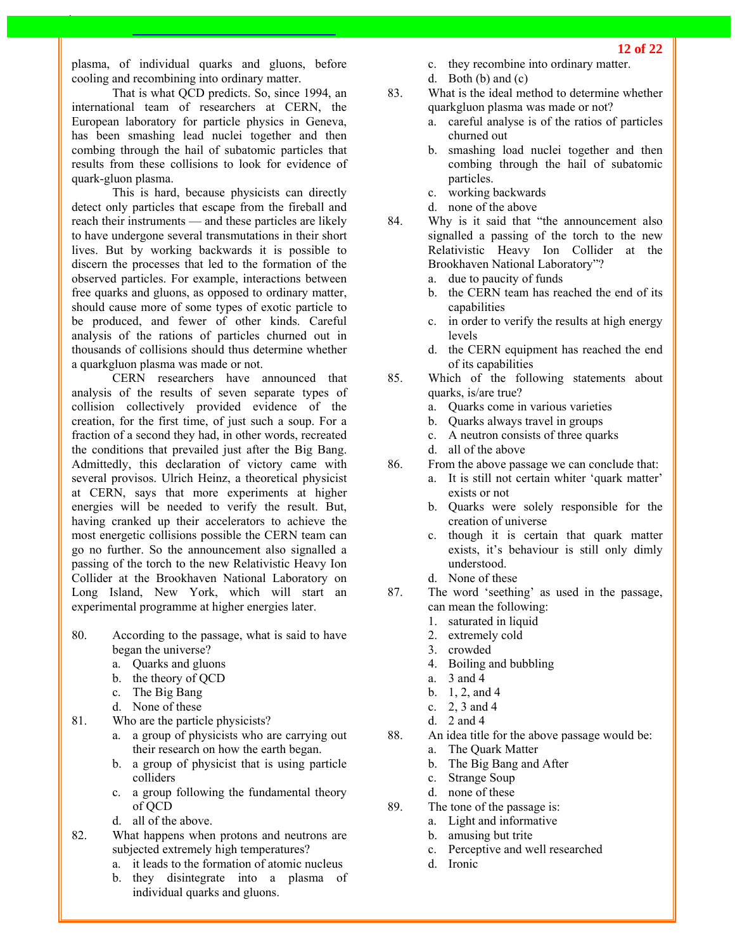plasma, of individual quarks and gluons, before cooling and recombining into ordinary matter.

That is what QCD predicts. So, since 1994, an international team of researchers at CERN, the European laboratory for particle physics in Geneva, has been smashing lead nuclei together and then combing through the hail of subatomic particles that results from these collisions to look for evidence of quark-gluon plasma.

This is hard, because physicists can directly detect only particles that escape from the fireball and reach their instruments — and these particles are likely to have undergone several transmutations in their short lives. But by working backwards it is possible to discern the processes that led to the formation of the observed particles. For example, interactions between free quarks and gluons, as opposed to ordinary matter, should cause more of some types of exotic particle to be produced, and fewer of other kinds. Careful analysis of the rations of particles churned out in thousands of collisions should thus determine whether a quarkgluon plasma was made or not.

CERN researchers have announced that analysis of the results of seven separate types of collision collectively provided evidence of the creation, for the first time, of just such a soup. For a fraction of a second they had, in other words, recreated the conditions that prevailed just after the Big Bang. Admittedly, this declaration of victory came with several provisos. Ulrich Heinz, a theoretical physicist at CERN, says that more experiments at higher energies will be needed to verify the result. But, having cranked up their accelerators to achieve the most energetic collisions possible the CERN team can go no further. So the announcement also signalled a passing of the torch to the new Relativistic Heavy Ion Collider at the Brookhaven National Laboratory on Long Island, New York, which will start an experimental programme at higher energies later.

- 80. According to the passage, what is said to have began the universe?
	- a. Quarks and gluons
	- b. the theory of QCD
	- c. The Big Bang
	- d. None of these
- 81. Who are the particle physicists?
	- a. a group of physicists who are carrying out their research on how the earth began.
	- b. a group of physicist that is using particle colliders
	- c. a group following the fundamental theory of QCD
	- d. all of the above.
- 82. What happens when protons and neutrons are subjected extremely high temperatures?
	- a. it leads to the formation of atomic nucleus
	- b. they disintegrate into a plasma of individual quarks and gluons.
- c. they recombine into ordinary matter.
- d. Both  $(b)$  and  $(c)$
- 83. What is the ideal method to determine whether quarkgluon plasma was made or not?
	- a. careful analyse is of the ratios of particles churned out
	- b. smashing load nuclei together and then combing through the hail of subatomic particles.
	- c. working backwards
	- d. none of the above
- 84. Why is it said that "the announcement also signalled a passing of the torch to the new Relativistic Heavy Ion Collider at the Brookhaven National Laboratory"?
	- a. due to paucity of funds
	- b. the CERN team has reached the end of its capabilities
	- c. in order to verify the results at high energy levels
	- d. the CERN equipment has reached the end of its capabilities
- 85. Which of the following statements about quarks, is/are true?
	- a. Quarks come in various varieties
	- b. Quarks always travel in groups
	- c. A neutron consists of three quarks
	- d. all of the above
- 86. From the above passage we can conclude that:
	- a. It is still not certain whiter 'quark matter' exists or not
	- b. Quarks were solely responsible for the creation of universe
	- c. though it is certain that quark matter exists, it's behaviour is still only dimly understood.
	- d. None of these
- 87. The word 'seething' as used in the passage, can mean the following:
	- 1. saturated in liquid
	- 2. extremely cold
	- 3. crowded
	- 4. Boiling and bubbling
	- a. 3 and 4
	- b. 1, 2, and 4
	- c. 2, 3 and 4
	- d. 2 and 4
- 88. An idea title for the above passage would be:
	- a. The Quark Matter
	- b. The Big Bang and After
	- c. Strange Soup
	- d. none of these
- 89. The tone of the passage is:
	- a. Light and informative
		- b. amusing but trite
		- c. Perceptive and well researched
		- d. Ironic

## **12 of 22**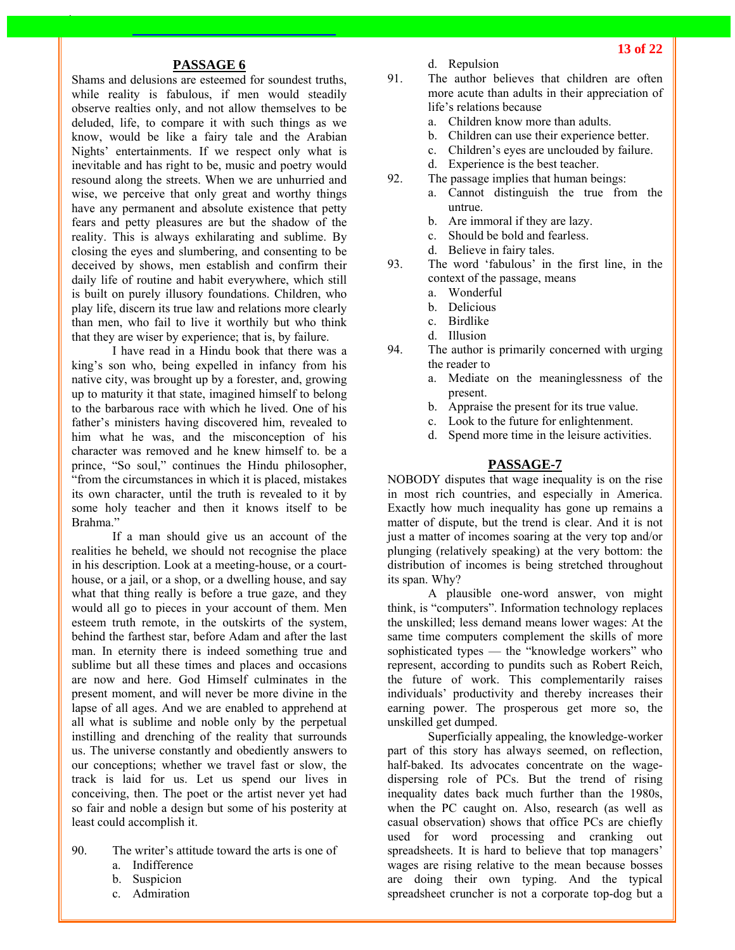## **PASSAGE 6**

Shams and delusions are esteemed for soundest truths, while reality is fabulous, if men would steadily observe realties only, and not allow themselves to be deluded, life, to compare it with such things as we know, would be like a fairy tale and the Arabian Nights' entertainments. If we respect only what is inevitable and has right to be, music and poetry would resound along the streets. When we are unhurried and wise, we perceive that only great and worthy things have any permanent and absolute existence that petty fears and petty pleasures are but the shadow of the reality. This is always exhilarating and sublime. By closing the eyes and slumbering, and consenting to be deceived by shows, men establish and confirm their daily life of routine and habit everywhere, which still is built on purely illusory foundations. Children, who play life, discern its true law and relations more clearly than men, who fail to live it worthily but who think that they are wiser by experience; that is, by failure.

I have read in a Hindu book that there was a king's son who, being expelled in infancy from his native city, was brought up by a forester, and, growing up to maturity it that state, imagined himself to belong to the barbarous race with which he lived. One of his father's ministers having discovered him, revealed to him what he was, and the misconception of his character was removed and he knew himself to. be a prince, "So soul," continues the Hindu philosopher, "from the circumstances in which it is placed, mistakes its own character, until the truth is revealed to it by some holy teacher and then it knows itself to be Brahma."

If a man should give us an account of the realities he beheld, we should not recognise the place in his description. Look at a meeting-house, or a courthouse, or a jail, or a shop, or a dwelling house, and say what that thing really is before a true gaze, and they would all go to pieces in your account of them. Men esteem truth remote, in the outskirts of the system, behind the farthest star, before Adam and after the last man. In eternity there is indeed something true and sublime but all these times and places and occasions are now and here. God Himself culminates in the present moment, and will never be more divine in the lapse of all ages. And we are enabled to apprehend at all what is sublime and noble only by the perpetual instilling and drenching of the reality that surrounds us. The universe constantly and obediently answers to our conceptions; whether we travel fast or slow, the track is laid for us. Let us spend our lives in conceiving, then. The poet or the artist never yet had so fair and noble a design but some of his posterity at least could accomplish it.

- 90. The writer's attitude toward the arts is one of
	- a. Indifference
	- b. Suspicion
	- c. Admiration
- d. Repulsion
- 91. The author believes that children are often more acute than adults in their appreciation of life's relations because
	- a. Children know more than adults.
	- b. Children can use their experience better.
	- c. Children's eyes are unclouded by failure.
	- d. Experience is the best teacher.
- 92. The passage implies that human beings:
	- a. Cannot distinguish the true from the untrue.
		- b. Are immoral if they are lazy.
	- c. Should be bold and fearless.
	- d. Believe in fairy tales.
- 93. The word 'fabulous' in the first line, in the context of the passage, means
	- a. Wonderful
	- b. Delicious
	- c. Birdlike
	- d. Illusion
- 94. The author is primarily concerned with urging the reader to
	- a. Mediate on the meaninglessness of the present.
	- b. Appraise the present for its true value.
	- c. Look to the future for enlightenment.
	- d. Spend more time in the leisure activities.

## **PASSAGE-7**

NOBODY disputes that wage inequality is on the rise in most rich countries, and especially in America. Exactly how much inequality has gone up remains a matter of dispute, but the trend is clear. And it is not just a matter of incomes soaring at the very top and/or plunging (relatively speaking) at the very bottom: the distribution of incomes is being stretched throughout its span. Why?

A plausible one-word answer, von might think, is "computers". Information technology replaces the unskilled; less demand means lower wages: At the same time computers complement the skills of more sophisticated types — the "knowledge workers" who represent, according to pundits such as Robert Reich, the future of work. This complementarily raises individuals' productivity and thereby increases their earning power. The prosperous get more so, the unskilled get dumped.

Superficially appealing, the knowledge-worker part of this story has always seemed, on reflection, half-baked. Its advocates concentrate on the wagedispersing role of PCs. But the trend of rising inequality dates back much further than the 1980s, when the PC caught on. Also, research (as well as casual observation) shows that office PCs are chiefly used for word processing and cranking out spreadsheets. It is hard to believe that top managers' wages are rising relative to the mean because bosses are doing their own typing. And the typical spreadsheet cruncher is not a corporate top-dog but a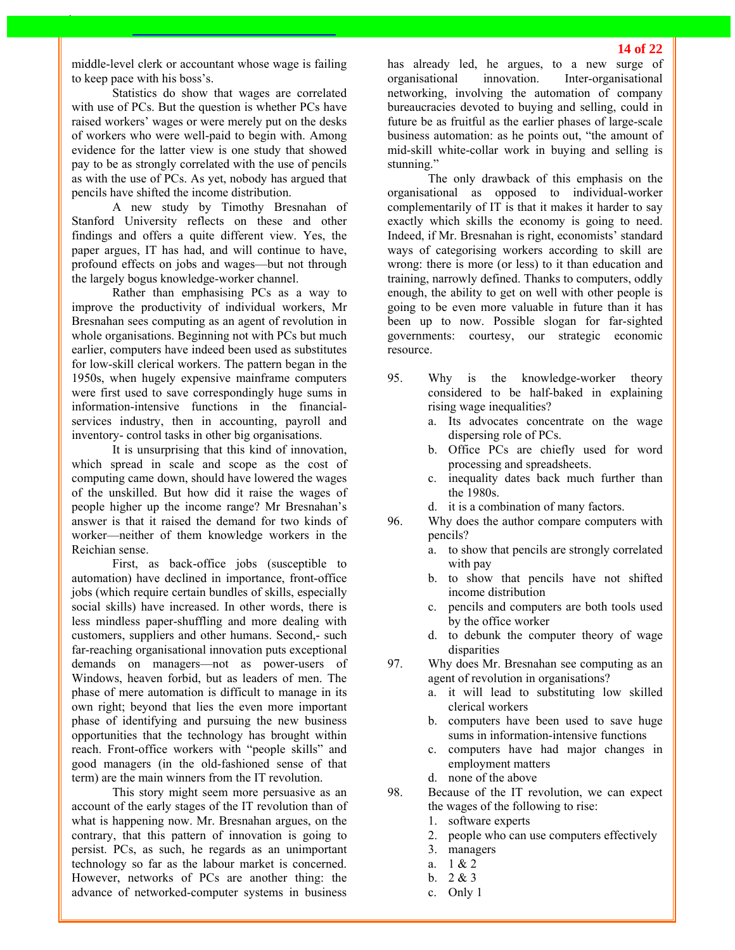middle-level clerk or accountant whose wage is failing to keep pace with his boss's.

Statistics do show that wages are correlated with use of PCs. But the question is whether PCs have raised workers' wages or were merely put on the desks of workers who were well-paid to begin with. Among evidence for the latter view is one study that showed pay to be as strongly correlated with the use of pencils as with the use of PCs. As yet, nobody has argued that pencils have shifted the income distribution.

A new study by Timothy Bresnahan of Stanford University reflects on these and other findings and offers a quite different view. Yes, the paper argues, IT has had, and will continue to have, profound effects on jobs and wages—but not through the largely bogus knowledge-worker channel.

Rather than emphasising PCs as a way to improve the productivity of individual workers, Mr Bresnahan sees computing as an agent of revolution in whole organisations. Beginning not with PCs but much earlier, computers have indeed been used as substitutes for low-skill clerical workers. The pattern began in the 1950s, when hugely expensive mainframe computers were first used to save correspondingly huge sums in information-intensive functions in the financialservices industry, then in accounting, payroll and inventory- control tasks in other big organisations.

It is unsurprising that this kind of innovation, which spread in scale and scope as the cost of computing came down, should have lowered the wages of the unskilled. But how did it raise the wages of people higher up the income range? Mr Bresnahan's answer is that it raised the demand for two kinds of worker—neither of them knowledge workers in the Reichian sense.

First, as back-office jobs (susceptible to automation) have declined in importance, front-office jobs (which require certain bundles of skills, especially social skills) have increased. In other words, there is less mindless paper-shuffling and more dealing with customers, suppliers and other humans. Second,- such far-reaching organisational innovation puts exceptional demands on managers—not as power-users of Windows, heaven forbid, but as leaders of men. The phase of mere automation is difficult to manage in its own right; beyond that lies the even more important phase of identifying and pursuing the new business opportunities that the technology has brought within reach. Front-office workers with "people skills" and good managers (in the old-fashioned sense of that term) are the main winners from the IT revolution.

This story might seem more persuasive as an account of the early stages of the IT revolution than of what is happening now. Mr. Bresnahan argues, on the contrary, that this pattern of innovation is going to persist. PCs, as such, he regards as an unimportant technology so far as the labour market is concerned. However, networks of PCs are another thing: the advance of networked-computer systems in business

has already led, he argues, to a new surge of organisational innovation. Inter-organisational networking, involving the automation of company bureaucracies devoted to buying and selling, could in future be as fruitful as the earlier phases of large-scale business automation: as he points out, "the amount of mid-skill white-collar work in buying and selling is stunning."

The only drawback of this emphasis on the organisational as opposed to individual-worker complementarily of IT is that it makes it harder to say exactly which skills the economy is going to need. Indeed, if Mr. Bresnahan is right, economists' standard ways of categorising workers according to skill are wrong: there is more (or less) to it than education and training, narrowly defined. Thanks to computers, oddly enough, the ability to get on well with other people is going to be even more valuable in future than it has been up to now. Possible slogan for far-sighted governments: courtesy, our strategic economic resource.

- 95. Why is the knowledge-worker theory considered to be half-baked in explaining rising wage inequalities?
	- a. Its advocates concentrate on the wage dispersing role of PCs.
	- b. Office PCs are chiefly used for word processing and spreadsheets.
	- c. inequality dates back much further than the 1980s.
	- d. it is a combination of many factors.
- 96. Why does the author compare computers with pencils?
	- a. to show that pencils are strongly correlated with pay
	- b. to show that pencils have not shifted income distribution
	- c. pencils and computers are both tools used by the office worker
	- d. to debunk the computer theory of wage disparities
- 97. Why does Mr. Bresnahan see computing as an agent of revolution in organisations?
	- a. it will lead to substituting low skilled clerical workers
	- b. computers have been used to save huge sums in information-intensive functions
	- c. computers have had major changes in employment matters
	- d. none of the above
- 98. Because of the IT revolution, we can expect the wages of the following to rise:
	- 1. software experts
	- 2. people who can use computers effectively
	- 3. managers
	- a.  $1 & 2$
	- b.  $2 & 3$
	- c. Only 1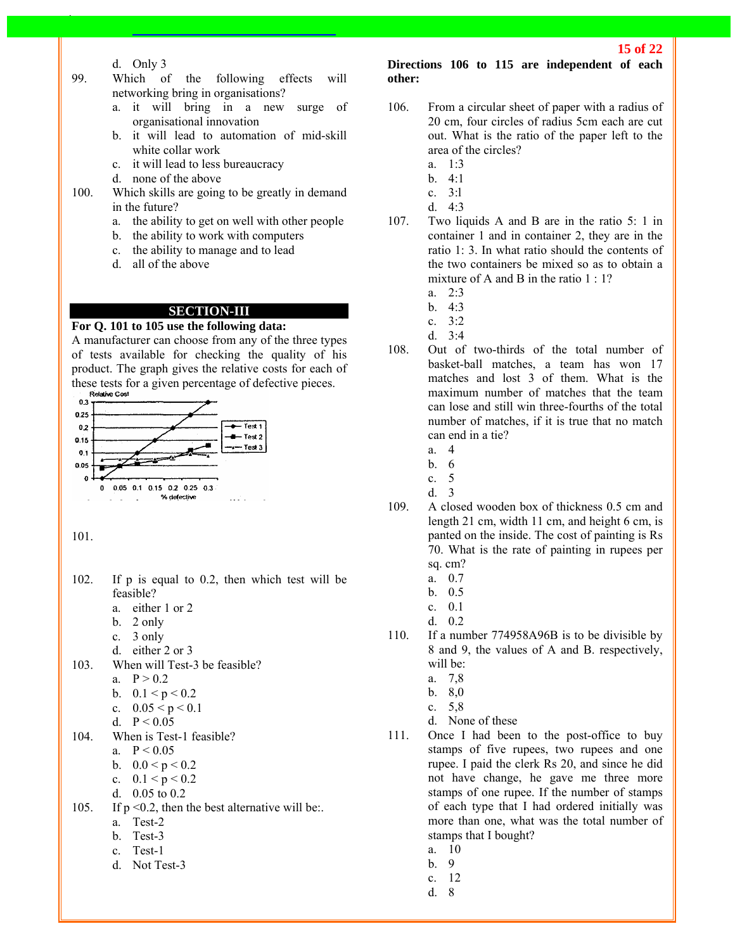**15 of 22**

d. Only 3

- 99. Which of the following effects will networking bring in organisations?
	- a. it will bring in a new surge of organisational innovation
	- b. it will lead to automation of mid-skill white collar work
	- c. it will lead to less bureaucracy
	- d. none of the above
- 100. Which skills are going to be greatly in demand in the future?
	- a. the ability to get on well with other people
	- b. the ability to work with computers
	- c. the ability to manage and to lead
	- d. all of the above

## **SECTION-III**

#### **For Q. 101 to 105 use the following data:**

A manufacturer can choose from any of the three types of tests available for checking the quality of his product. The graph gives the relative costs for each of these tests for a given percentage of defective pieces.<br>Relate Cost



101.

- 102. If p is equal to 0.2, then which test will be feasible?
	- a. either 1 or 2
	- b. 2 only
	- c. 3 only
	- d. either 2 or 3
- 103. When will Test-3 be feasible?
	- a.  $P > 0.2$
	- b.  $0.1 < p < 0.2$
	- c.  $0.05 \le p \le 0.1$
	- d.  $P < 0.05$
- 104. When is Test-1 feasible?
	- a.  $P < 0.05$
	- b.  $0.0 < p < 0.2$
	- c.  $0.1 < p < 0.2$
	- d. 0.05 to 0.2
- 105. If  $p \le 0.2$ , then the best alternative will be:.
	- a. Test-2
	- b. Test-3
	- c. Test-1
	- d. Not Test-3

**Directions 106 to 115 are independent of each other:** 

- 106. From a circular sheet of paper with a radius of 20 cm, four circles of radius 5cm each are cut out. What is the ratio of the paper left to the area of the circles?
	- a. 1:3
	- b. 4:1
	- c. 3:l
	- d. 4:3
- 107. Two liquids A and B are in the ratio 5: 1 in container 1 and in container 2, they are in the ratio 1: 3. In what ratio should the contents of the two containers be mixed so as to obtain a mixture of A and B in the ratio 1 : 1?
	- a  $2.3$
	- h  $4.3$
	- c. 3:2
	- d. 3:4
- 108. Out of two-thirds of the total number of basket-ball matches, a team has won 17 matches and lost 3 of them. What is the maximum number of matches that the team can lose and still win three-fourths of the total number of matches, if it is true that no match can end in a tie?
	- a. 4
	- b. 6
	- c. 5
	- d. 3
- 109. A closed wooden box of thickness 0.5 cm and length 21 cm, width 11 cm, and height 6 cm, is panted on the inside. The cost of painting is Rs 70. What is the rate of painting in rupees per sq. cm?
	- a. 0.7
	- b. 0.5
	- c. 0.1
	- d. 0.2
- 110. If a number 774958A96B is to be divisible by 8 and 9, the values of A and B. respectively, will be:
	- a. 7,8
	- b. 8,0
	- c. 5,8
	- d. None of these
- 111. Once I had been to the post-office to buy stamps of five rupees, two rupees and one rupee. I paid the clerk Rs 20, and since he did not have change, he gave me three more stamps of one rupee. If the number of stamps of each type that I had ordered initially was more than one, what was the total number of stamps that I bought?
	- a. 10
	- b. 9
	- c. 12
	- d. 8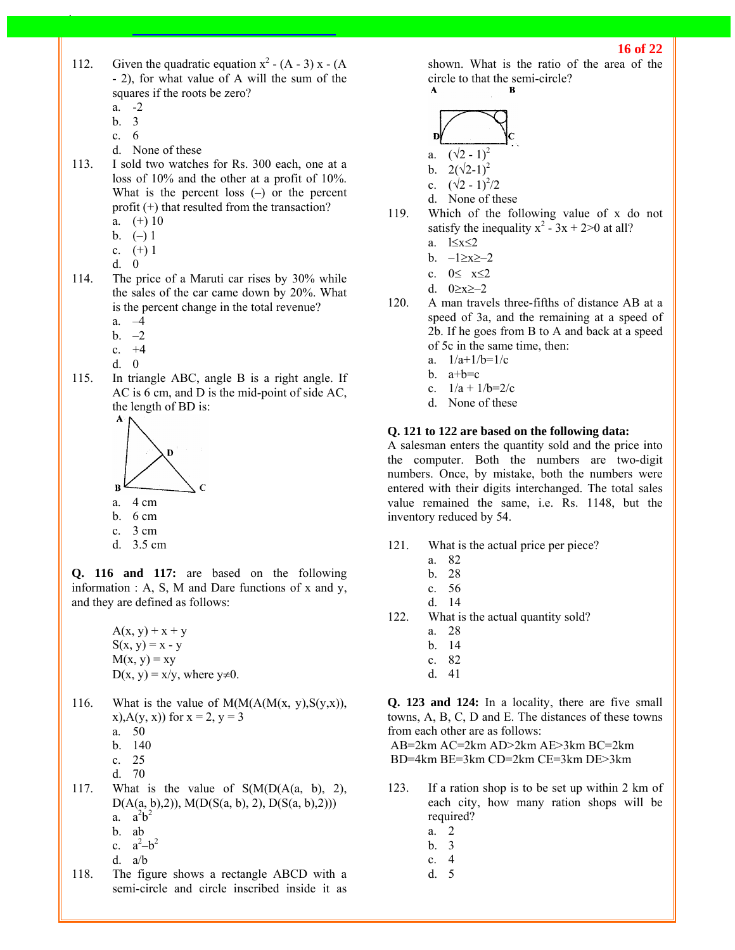- 112. Given the quadratic equation  $x^2 (A 3)x (A 1)$ - 2), for what value of A will the sum of the squares if the roots be zero?
	- a. -2 b. 3
	- c. 6
	- d. None of these
- 113. I sold two watches for Rs. 300 each, one at a loss of 10% and the other at a profit of 10%. What is the percent loss (–) or the percent profit (+) that resulted from the transaction?
	- a.  $(+)$  10
	- b.  $(-) 1$
	- c.  $(+) 1$
	- d. 0
- 114. The price of a Maruti car rises by 30% while the sales of the car came down by 20%. What is the percent change in the total revenue?
	- a. –4
	- b.  $-2$
	- c.  $+4$
	- d. 0
- 115. In triangle ABC, angle B is a right angle. If AC is 6 cm, and D is the mid-point of side AC, the length of BD is:



d. 3.5 cm

**Q. 116 and 117:** are based on the following information : A, S, M and Dare functions of x and y, and they are defined as follows:

> $A(x, y) + x + y$  $S(x, y) = x - y$  $M(x, y) = xy$  $D(x, y) = x/y$ , where  $y \neq 0$ .

- 116. What is the value of  $M(M(A(M(x, y),S(y,x)))$ , x), A(y, x)) for  $x = 2$ ,  $y = 3$ 
	- a. 50
	- b. 140
	- c. 25
	- d. 70
- 117. What is the value of  $S(M(D(A(a, b), 2)),$  $D(A(a, b), 2)$ ,  $M(D(S(a, b), 2), D(S(a, b), 2))$ a.  $a^2b^2$ b. ab
	- c.  $a^2-b^2$
	- d. a/b
- 118. The figure shows a rectangle ABCD with a semi-circle and circle inscribed inside it as

shown. What is the ratio of the area of the circle to that the semi-circle?  $\mathbf{A}$ 

a. 
$$
(\sqrt{2} - 1)^2
$$
  
\nb.  $2(\sqrt{2} - 1)^2$   
\nc.  $(\sqrt{2} - 1)^2/2$   
\nd. None of these  
\nWhich of the follow

- 119. Which of the following value of x do not satisfy the inequality  $x^2 - 3x + 2 > 0$  at all?
	- a.  $1 \le x \le 2$
	- b.  $-l \ge x \ge -2$
	- c.  $0 \le x \le 2$
	- d.  $0 \ge x \ge -2$
- 120. A man travels three-fifths of distance AB at a speed of 3a, and the remaining at a speed of 2b. If he goes from B to A and back at a speed of 5c in the same time, then:
	- a.  $1/a+1/b=1/c$
	- b.  $a+b=c$
	- c.  $1/a + 1/b=2/c$
	- d. None of these

## **Q. 121 to 122 are based on the following data:**

A salesman enters the quantity sold and the price into the computer. Both the numbers are two-digit numbers. Once, by mistake, both the numbers were entered with their digits interchanged. The total sales value remained the same, i.e. Rs. 1148, but the inventory reduced by 54.

- 121. What is the actual price per piece?
	- a. 82
	- b. 28
	- c. 56
	- d. 14
- 122. What is the actual quantity sold?
	- a. 28
	- b. 14
	- c. 82
	- d. 41

**Q. 123 and 124:** In a locality, there are five small towns, A, B, C, D and E. The distances of these towns from each other are as follows:

 AB=2km AC=2km AD>2km AE>3km BC=2km BD=4km BE=3km CD=2km CE=3km DE>3km

- 123. If a ration shop is to be set up within 2 km of each city, how many ration shops will be required?
	- a. 2
	- b. 3
	- c. 4
	- d. 5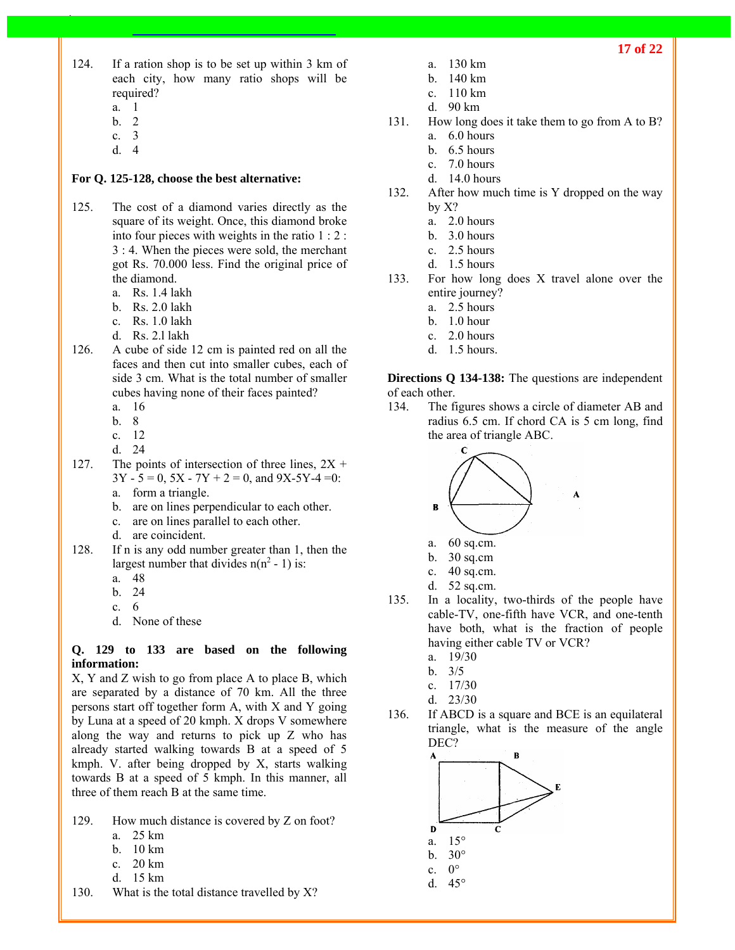- 124. If a ration shop is to be set up within 3 km of each city, how many ratio shops will be required?
	- a. 1 b. 2
	-
	- c. 3
	- d. 4

## **For Q. 125-128, choose the best alternative:**

- 125. The cost of a diamond varies directly as the square of its weight. Once, this diamond broke into four pieces with weights in the ratio 1 : 2 : 3 : 4. When the pieces were sold, the merchant got Rs. 70.000 less. Find the original price of the diamond.
	- a. Rs. 1.4 lakh
	- b. Rs. 2.0 lakh
	- c. Rs. 1.0 lakh
	- d. Rs. 2.l lakh
- 126. A cube of side 12 cm is painted red on all the faces and then cut into smaller cubes, each of side 3 cm. What is the total number of smaller cubes having none of their faces painted?
	- a. 16
	- b. 8
	- c. 12
	- d. 24
- 127. The points of intersection of three lines,  $2X +$  $3Y - 5 = 0$ ,  $5X - 7Y + 2 = 0$ , and  $9X - 5Y - 4 = 0$ :
	- a. form a triangle.
	- b. are on lines perpendicular to each other.
	- c. are on lines parallel to each other.
	- d. are coincident.
- 128. If n is any odd number greater than 1, then the largest number that divides  $n(n^2 - 1)$  is:
	- a. 48
	- b. 24
	- c. 6
	- d. None of these

## **Q. 129 to 133 are based on the following information:**

X, Y and Z wish to go from place A to place B, which are separated by a distance of 70 km. All the three persons start off together form A, with X and Y going by Luna at a speed of 20 kmph. X drops V somewhere along the way and returns to pick up Z who has already started walking towards B at a speed of 5 kmph. V. after being dropped by X, starts walking towards B at a speed of 5 kmph. In this manner, all three of them reach B at the same time.

- 129. How much distance is covered by Z on foot?
	- a. 25 km
	- b. 10 km
	- c. 20 km
	- d. 15 km
- 130. What is the total distance travelled by X?
- a. 130 km
- b. 140 km
- c. 110 km
- d. 90 km
- 131. How long does it take them to go from A to B?
	- a. 6.0 hours
	- $b. 6.5$  hours
	- c. 7.0 hours
	- d. 14.0 hours
- 132. After how much time is Y dropped on the way by X?
	- a. 2.0 hours
	- b. 3.0 hours
	- c. 2.5 hours
	- d. 1.5 hours
- 133. For how long does X travel alone over the entire journey?
	- a. 2.5 hours
	- b. 1.0 hour
	- c. 2.0 hours
	- d. 1.5 hours.

**Directions Q 134-138:** The questions are independent of each other.

134. The figures shows a circle of diameter AB and radius 6.5 cm. If chord CA is 5 cm long, find the area of triangle ABC.



- a. 60 sq.cm.
- b. 30 sq.cm
- c. 40 sq.cm.
- d. 52 sq.cm.
- 135. In a locality, two-thirds of the people have cable-TV, one-fifth have VCR, and one-tenth have both, what is the fraction of people having either cable TV or VCR?
	- a. 19/30
	- b. 3/5
	- c. 17/30
	- d. 23/30
- 136. If ABCD is a square and BCE is an equilateral triangle, what is the measure of the angle DEC?

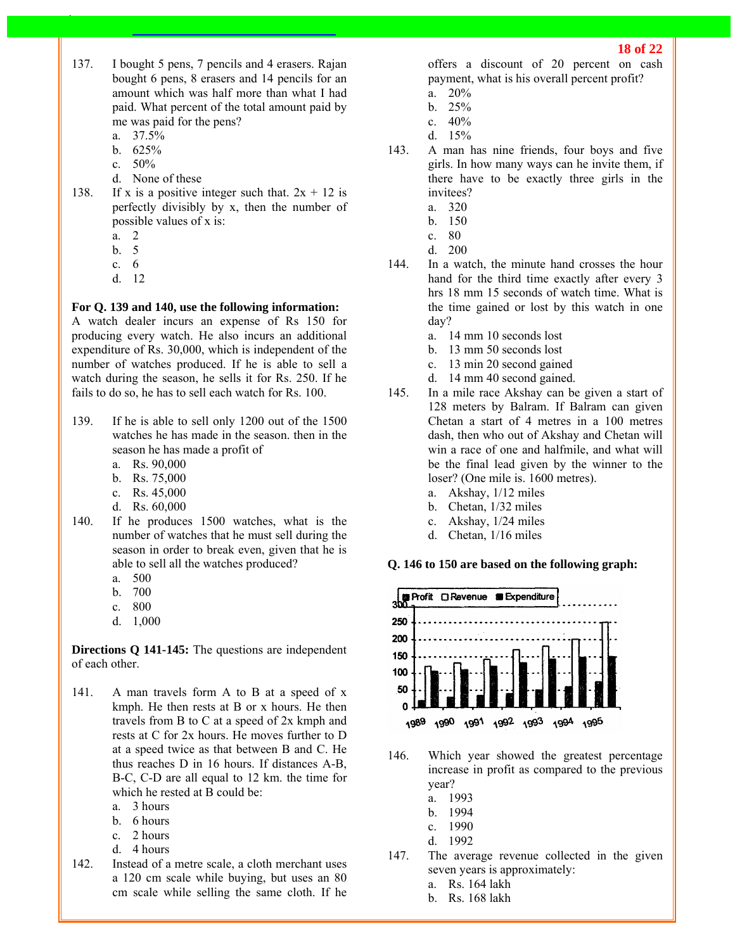- 137. I bought 5 pens, 7 pencils and 4 erasers. Rajan bought 6 pens, 8 erasers and 14 pencils for an amount which was half more than what I had paid. What percent of the total amount paid by me was paid for the pens?
	- a. 37.5%
	- b. 625%
	- c. 50%
	- d. None of these
- 138. If x is a positive integer such that.  $2x + 12$  is perfectly divisibly by x, then the number of possible values of x is:
	- a. 2
	- b. 5
	- c. 6
	- d. 12

#### **For Q. 139 and 140, use the following information:**

A watch dealer incurs an expense of Rs 150 for producing every watch. He also incurs an additional expenditure of Rs. 30,000, which is independent of the number of watches produced. If he is able to sell a watch during the season, he sells it for Rs. 250. If he fails to do so, he has to sell each watch for Rs. 100.

- 139. If he is able to sell only 1200 out of the 1500 watches he has made in the season. then in the season he has made a profit of
	- a. Rs. 90,000
	- b. Rs. 75,000
	- c. Rs. 45,000
	- d. Rs. 60,000
- 140. If he produces 1500 watches, what is the number of watches that he must sell during the season in order to break even, given that he is able to sell all the watches produced?
	- a. 500
	- b. 700
	- c. 800
	- d. 1,000

**Directions Q 141-145:** The questions are independent of each other.

- 141. A man travels form A to B at a speed of x kmph. He then rests at B or x hours. He then travels from B to C at a speed of 2x kmph and rests at C for 2x hours. He moves further to D at a speed twice as that between B and C. He thus reaches D in 16 hours. If distances A-B, B-C, C-D are all equal to 12 km. the time for which he rested at B could be:
	- a. 3 hours
	- b. 6 hours
	- c. 2 hours
	- d. 4 hours
- 142. Instead of a metre scale, a cloth merchant uses a 120 cm scale while buying, but uses an 80 cm scale while selling the same cloth. If he

offers a discount of 20 percent on cash payment, what is his overall percent profit? a. 20%

- b. 25%
- c.  $40%$
- d. 15%
- 
- 143. A man has nine friends, four boys and five girls. In how many ways can he invite them, if there have to be exactly three girls in the invitees?
	- a. 320
	- b. 150
	- c. 80
	- d. 200
- 144. In a watch, the minute hand crosses the hour hand for the third time exactly after every 3 hrs 18 mm 15 seconds of watch time. What is the time gained or lost by this watch in one day?
	- a. 14 mm 10 seconds lost
	- b. 13 mm 50 seconds lost
	- c. 13 min 20 second gained
	- d. 14 mm 40 second gained.
- 145. In a mile race Akshay can be given a start of 128 meters by Balram. If Balram can given Chetan a start of 4 metres in a 100 metres dash, then who out of Akshay and Chetan will win a race of one and halfmile, and what will be the final lead given by the winner to the loser? (One mile is. 1600 metres).
	- a. Akshay, 1/12 miles
	- b. Chetan, 1/32 miles
	- c. Akshay, 1/24 miles
	- d. Chetan, 1/16 miles

#### **Q. 146 to 150 are based on the following graph:**



- 146. Which year showed the greatest percentage increase in profit as compared to the previous year?
	- a. 1993
	- b. 1994
	- c. 1990
	- d. 1992
- 147. The average revenue collected in the given seven years is approximately:
	- a. Rs. 164 lakh
	- b. Rs. 168 lakh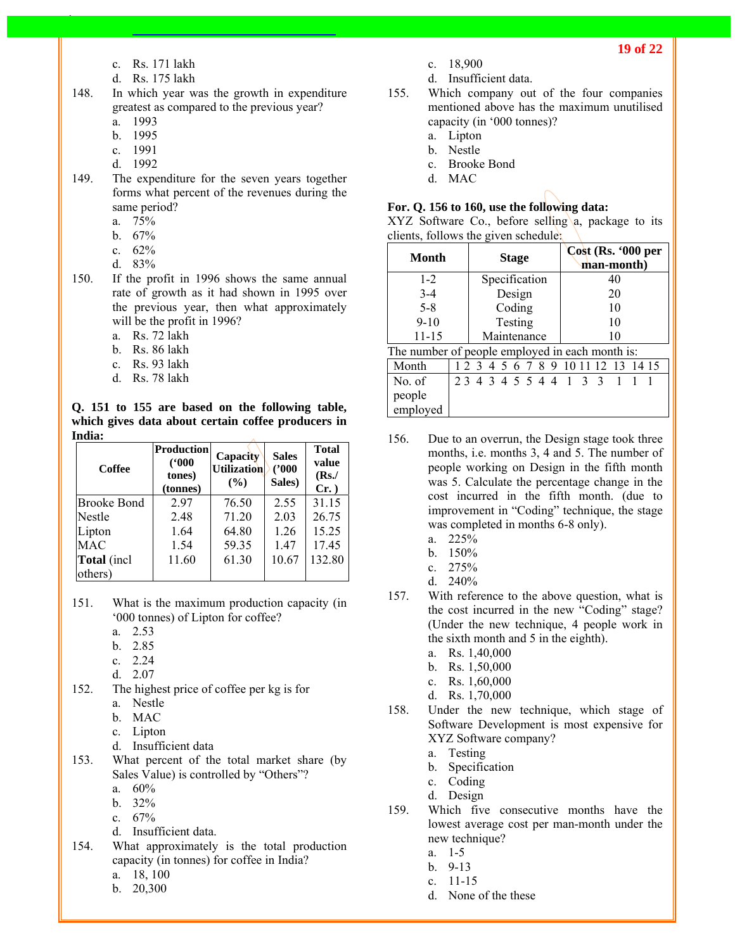- c. Rs. 171 lakh
- d. Rs. 175 lakh
- 148. In which year was the growth in expenditure greatest as compared to the previous year?
	- a. 1993
	- b. 1995
	- c. 1991
	- d. 1992
- 149. The expenditure for the seven years together forms what percent of the revenues during the same period?
	- a. 75%
	- b.  $67\%$
	- c. 62%
	- d. 83%
- 150. If the profit in 1996 shows the same annual rate of growth as it had shown in 1995 over the previous year, then what approximately will be the profit in 1996?
	- a. Rs. 72 lakh
	- b. Rs. 86 lakh
	- c. Rs. 93 lakh
	- d. Rs. 78 lakh

**Q. 151 to 155 are based on the following table, which gives data about certain coffee producers in India:** 

| <b>Coffee</b>      | <b>Production</b><br>(500)<br>tones)<br>(tonnes) | Capacity<br><b>Utilization</b><br>$($ %) | <b>Sales</b><br>(2000)<br>Sales) | <b>Total</b><br>value<br>$(Rs$ ./<br>$Cr.$ ) |
|--------------------|--------------------------------------------------|------------------------------------------|----------------------------------|----------------------------------------------|
| <b>Brooke Bond</b> | 2.97                                             | 76.50                                    | 2.55                             | 31.15                                        |
| <b>Nestle</b>      | 2.48                                             | 71.20                                    | 2.03                             | 26.75                                        |
| Lipton             | 1.64                                             | 64.80                                    | 1.26                             | 15.25                                        |
| <b>MAC</b>         | 1.54                                             | 59.35                                    | 1.47                             | 17.45                                        |
| <b>Total</b> (incl | 11.60                                            | 61.30                                    | 10.67                            | 132.80                                       |
| others)            |                                                  |                                          |                                  |                                              |

- 151. What is the maximum production capacity (in '000 tonnes) of Lipton for coffee?
	- a. 2.53
	- b. 2.85
	- c. 2.24
	- d. 2.07
- 152. The highest price of coffee per kg is for
	- a. Nestle
	- b. MAC
	- c. Lipton
	- d. Insufficient data
- 153. What percent of the total market share (by Sales Value) is controlled by "Others"?
	- a. 60%
	- b. 32%
	- c. 67%
	- d. Insufficient data.
- 154. What approximately is the total production capacity (in tonnes) for coffee in India?
	- a. 18, 100
	- b. 20,300
- c. 18,900
- d. Insufficient data.
- 155. Which company out of the four companies mentioned above has the maximum unutilised capacity (in '000 tonnes)?
	- a. Lipton
	- b. Nestle
	- c. Brooke Bond
	- d. MAC

#### **For. Q. 156 to 160, use the following data:**

XYZ Software Co., before selling  $\alpha$ , package to its clients, follows the given schedule:

| <b>Month</b>                                    | <b>Stage</b>  | Cost (Rs. '000 per<br>man-month) |  |  |  |  |
|-------------------------------------------------|---------------|----------------------------------|--|--|--|--|
| $1 - 2$                                         | Specification | 40                               |  |  |  |  |
| $3 - 4$                                         | Design        | 20                               |  |  |  |  |
| $5 - 8$                                         | Coding        | 10                               |  |  |  |  |
| $9 - 10$                                        | Testing       | 10                               |  |  |  |  |
| $11 - 15$                                       | Maintenance   |                                  |  |  |  |  |
| The number of people employed in each month is: |               |                                  |  |  |  |  |

| The number of people employed in each month is. |  |  |  |  |  |  |  |  |                        |                                     |  |
|-------------------------------------------------|--|--|--|--|--|--|--|--|------------------------|-------------------------------------|--|
| Month                                           |  |  |  |  |  |  |  |  |                        | 1 2 3 4 5 6 7 8 9 10 11 12 13 14 15 |  |
| No. of                                          |  |  |  |  |  |  |  |  | 23 4 3 4 5 5 4 4 1 3 3 |                                     |  |
| people                                          |  |  |  |  |  |  |  |  |                        |                                     |  |
| employed                                        |  |  |  |  |  |  |  |  |                        |                                     |  |

- 156. Due to an overrun, the Design stage took three months, i.e. months 3, 4 and 5. The number of people working on Design in the fifth month was 5. Calculate the percentage change in the cost incurred in the fifth month. (due to improvement in "Coding" technique, the stage was completed in months 6-8 only).
	- a. 225%
	- b. 150%
	- c. 275%
	- d. 240%
- 157. With reference to the above question, what is the cost incurred in the new "Coding" stage? (Under the new technique, 4 people work in the sixth month and 5 in the eighth).
	- a. Rs. 1,40,000
	- b. Rs. 1,50,000
	- c. Rs. 1,60,000
	- d. Rs. 1,70,000
- 158. Under the new technique, which stage of Software Development is most expensive for XYZ Software company?
	- a. Testing
	- b. Specification
	- c. Coding
	- d. Design
- 159. Which five consecutive months have the lowest average cost per man-month under the new technique?
	- a. 1-5
	- b. 9-13
	- c. 11-15
	- d. None of the these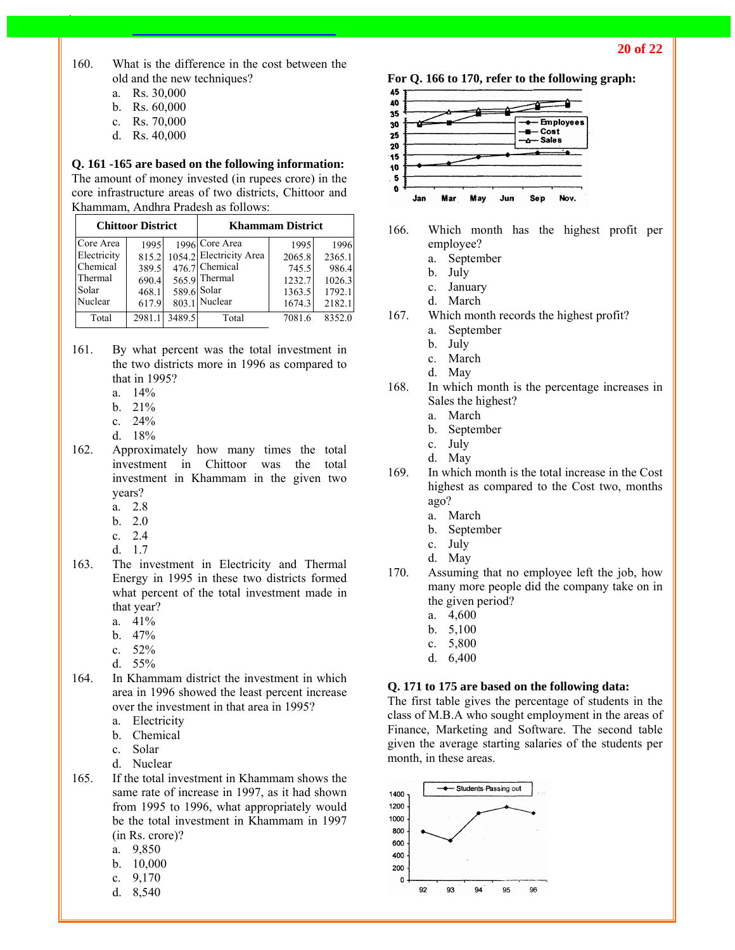- 160. What is the difference in the cost between the old and the new techniques?
	- a. Rs. 30,000
	- b. Rs. 60,000
	- c. Rs. 70,000
	- d. Rs. 40,000

## **Q. 161 -165 are based on the following information:**

The amount of money invested (in rupees crore) in the core infrastructure areas of two districts, Chittoor and Khammam, Andhra Pradesh as follows:

| <b>Chittoor District</b> |        |        | <b>Khammam District</b> |        |        |  |  |
|--------------------------|--------|--------|-------------------------|--------|--------|--|--|
| Core Area                | 1995   |        | 1996 Core Area          | 1995   | 1996   |  |  |
| Electricity              | 815.2  |        | 1054.2 Electricity Area | 2065.8 | 2365.1 |  |  |
| Chemical                 | 389.5  |        | 476.7 Chemical          | 745.5  | 986.4  |  |  |
| Thermal                  | 690.4  |        | 565.9 Thermal           | 1232.7 | 1026.3 |  |  |
| Solar                    | 468.1  |        | 589.6 Solar             | 1363.5 | 1792.1 |  |  |
| Nuclear                  | 617.9  |        | 803.1 Nuclear           | 1674.3 | 2182.1 |  |  |
| Total                    | 2981.1 | 3489.5 | Total                   | 7081.6 | 8352.0 |  |  |

- 161. By what percent was the total investment in the two districts more in 1996 as compared to that in 1995?
	- a.  $14\%$
	- $h$  21%
	- c. 24%
	- d. 18%
- 162. Approximately how many times the total investment in Chittoor was the total investment in Khammam in the given two years?
	- a. 2.8
	- b. 2.0
	- c. 2.4
	- d. 1.7
- 163. The investment in Electricity and Thermal Energy in 1995 in these two districts formed what percent of the total investment made in that year?
	- a. 41%
	- b. 47%
	- c. 52%
	- d. 55%
- 164. In Khammam district the investment in which area in 1996 showed the least percent increase over the investment in that area in 1995?
	- a. Electricity
	- b. Chemical
	- c. Solar
	- d. Nuclear
- 165. If the total investment in Khammam shows the same rate of increase in 1997, as it had shown from 1995 to 1996, what appropriately would be the total investment in Khammam in 1997 (in Rs. crore)?
	- a. 9,850
	- b. 10,000
	- c. 9,170
	- d. 8,540

**For Q. 166 to 170, refer to the following graph:** 



- 166. Which month has the highest profit per employee?
	- a. September
	- b. July
	- c. January
	- d. March
- 167. Which month records the highest profit?
	- a. September
	- b. July
	- c. March
	- d. May
- 168. In which month is the percentage increases in Sales the highest?
	- a. March
	- b. September
	- c. July
	- d. May
- 169. In which month is the total increase in the Cost highest as compared to the Cost two, months ago?
	- a. March
	- b. September
	- c. July
	- d. May
- 170. Assuming that no employee left the job, how many more people did the company take on in the given period?
	- a. 4,600
	- b. 5,100
	- c. 5,800
	- d. 6,400

## **Q. 171 to 175 are based on the following data:**

The first table gives the percentage of students in the class of M.B.A who sought employment in the areas of Finance, Marketing and Software. The second table given the average starting salaries of the students per month, in these areas.

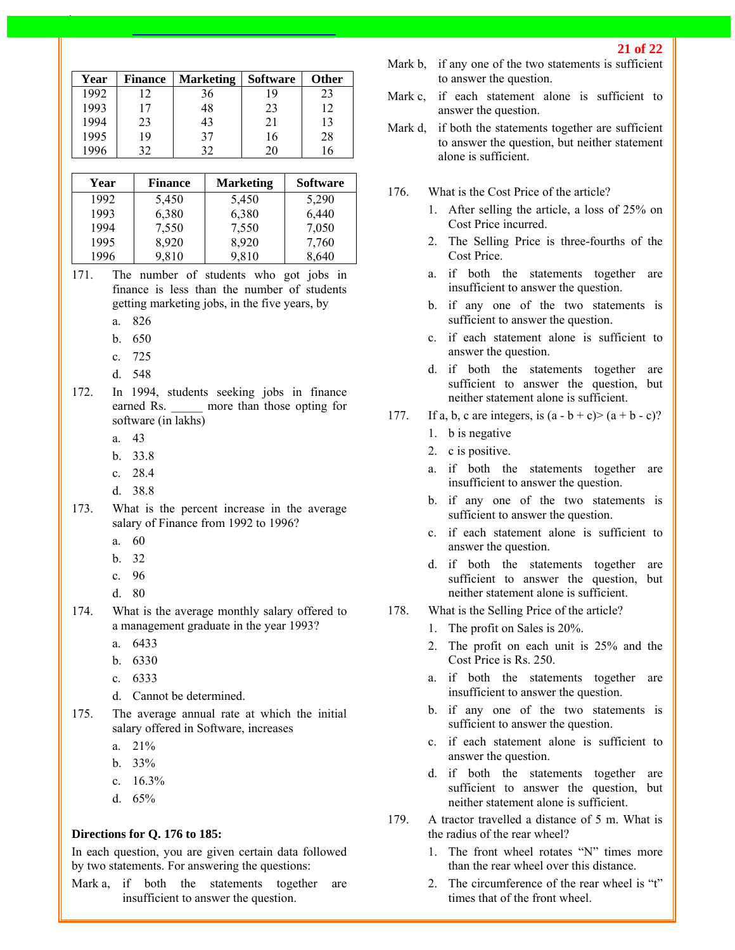| Year | <b>Finance</b> | <b>Marketing</b> | <b>Software</b> | <b>Other</b> |
|------|----------------|------------------|-----------------|--------------|
| 1992 | 12             | 36               | 19              | 23           |
| 1993 | 17             | 48               | 23              | 12           |
| 1994 | 23             | 43               | 21              | 13           |
| 1995 | 19             | 37               | 16              | 28           |
| 1996 | 37             | 37               | 20              | 6            |

| Year | <b>Finance</b> | <b>Marketing</b> | <b>Software</b> |
|------|----------------|------------------|-----------------|
| 1992 | 5,450          | 5,450            | 5,290           |
| 1993 | 6,380          | 6,380            | 6,440           |
| 1994 | 7,550          | 7,550            | 7,050           |
| 1995 | 8,920          | 8,920            | 7,760           |
| 1996 | 9,810          | 9,810            | 8,640           |

- 171. The number of students who got jobs in finance is less than the number of students getting marketing jobs, in the five years, by
	- a. 826
	- b. 650
	- c. 725
	- d. 548
- 172. In 1994, students seeking jobs in finance earned Rs. \_\_\_\_\_\_ more than those opting for software (in lakhs)
	- a. 43
	- b. 33.8
	- c. 28.4
	- d. 38.8
- 173. What is the percent increase in the average salary of Finance from 1992 to 1996?
	- a. 60
	- b. 32
	- c. 96
	- d. 80
- 174. What is the average monthly salary offered to a management graduate in the year 1993?
	- a. 6433
	- b. 6330
	- c. 6333
	- d. Cannot be determined.
- 175. The average annual rate at which the initial salary offered in Software, increases
	- a. 21%
	- b. 33%
	- c. 16.3%
	- d. 65%

#### **Directions for Q. 176 to 185:**

In each question, you are given certain data followed by two statements. For answering the questions:

Mark a, if both the statements together are insufficient to answer the question.

- Mark b, if any one of the two statements is sufficient to answer the question.
- Mark c, if each statement alone is sufficient to answer the question.
- Mark d, if both the statements together are sufficient to answer the question, but neither statement alone is sufficient.
- 176. What is the Cost Price of the article?
	- 1. After selling the article, a loss of 25% on Cost Price incurred.
	- 2. The Selling Price is three-fourths of the Cost Price.
	- a. if both the statements together are insufficient to answer the question.
	- b. if any one of the two statements is sufficient to answer the question.
	- c. if each statement alone is sufficient to answer the question.
	- d. if both the statements together are sufficient to answer the question, but neither statement alone is sufficient.
- 177. If a, b, c are integers, is  $(a b + c) > (a + b c)$ ?
	- 1. b is negative
	- 2. c is positive.
	- a. if both the statements together are insufficient to answer the question.
	- b. if any one of the two statements is sufficient to answer the question.
	- c. if each statement alone is sufficient to answer the question.
	- d. if both the statements together are sufficient to answer the question, but neither statement alone is sufficient.
- 178. What is the Selling Price of the article?
	- 1. The profit on Sales is 20%.
	- 2. The profit on each unit is 25% and the Cost Price is Rs. 250.
	- a. if both the statements together are insufficient to answer the question.
	- b. if any one of the two statements is sufficient to answer the question.
	- c. if each statement alone is sufficient to answer the question.
	- d. if both the statements together are sufficient to answer the question, but neither statement alone is sufficient.
- 179. A tractor travelled a distance of 5 m. What is the radius of the rear wheel?
	- 1. The front wheel rotates "N" times more than the rear wheel over this distance.
	- 2. The circumference of the rear wheel is "t" times that of the front wheel.

#### **21 of 22**